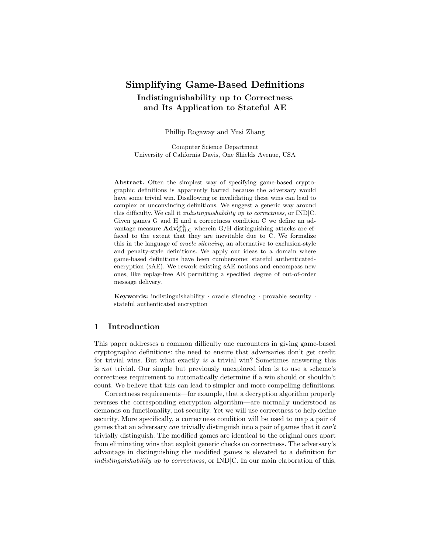# **Simplifying Game-Based Definitions Indistinguishability up to Correctness and Its Application to Stateful AE**

Phillip Rogaway and Yusi Zhang

Computer Science Department University of California Davis, One Shields Avenue, USA

**Abstract.** Often the simplest way of specifying game-based cryptographic definitions is apparently barred because the adversary would have some trivial win. Disallowing or invalidating these wins can lead to complex or unconvincing definitions. We suggest a generic way around this difficulty. We call it *indistinguishability up to correctness*, or IND*|*C. Given games G and H and a correctness condition C we define an advantage measure  $\mathbf{Adv}_{G,H,C}^{\text{indc}}$  wherein G/H distinguishing attacks are effaced to the extent that they are inevitable due to C. We formalize this in the language of *oracle silencing*, an alternative to exclusion-style and penalty-style definitions. We apply our ideas to a domain where game-based definitions have been cumbersome: stateful authenticatedencryption (sAE). We rework existing sAE notions and encompass new ones, like replay-free AE permitting a specified degree of out-of-order message delivery.

**Keywords:** indistinguishability *·* oracle silencing *·* provable security *·* stateful authenticated encryption

# **1 Introduction**

This paper addresses a common difficulty one encounters in giving game-based cryptographic definitions: the need to ensure that adversaries don't get credit for trivial wins. But what exactly *is* a trivial win? Sometimes answering this is *not* trivial. Our simple but previously unexplored idea is to use a scheme's correctness requirement to automatically determine if a win should or shouldn't count. We believe that this can lead to simpler and more compelling definitions.

Correctness requirements—for example, that a decryption algorithm properly reverses the corresponding encryption algorithm—are normally understood as demands on functionality, not security. Yet we will use correctness to help define security. More specifically, a correctness condition will be used to map a pair of games that an adversary *can* trivially distinguish into a pair of games that it *can't* trivially distinguish. The modified games are identical to the original ones apart from eliminating wins that exploit generic checks on correctness. The adversary's advantage in distinguishing the modified games is elevated to a definition for *indistinguishability up to correctness*, or IND*|*C. In our main elaboration of this,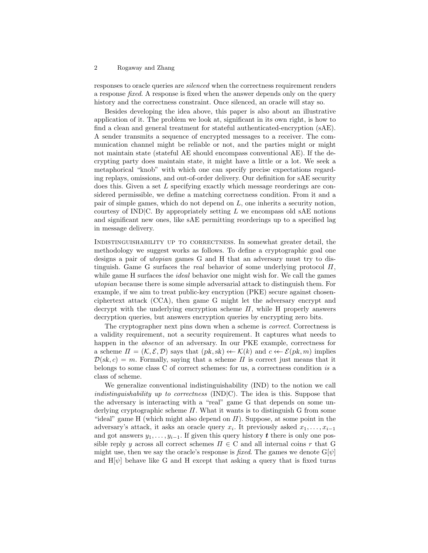responses to oracle queries are *silenced* when the correctness requirement renders a response *fixed*. A response is fixed when the answer depends only on the query history and the correctness constraint. Once silenced, an oracle will stay so.

Besides developing the idea above, this paper is also about an illustrative application of it. The problem we look at, significant in its own right, is how to find a clean and general treatment for stateful authenticated-encryption (sAE). A sender transmits a sequence of encrypted messages to a receiver. The communication channel might be reliable or not, and the parties might or might not maintain state (stateful AE should encompass conventional AE). If the decrypting party does maintain state, it might have a little or a lot. We seek a metaphorical "knob" with which one can specify precise expectations regarding replays, omissions, and out-of-order delivery. Our definition for sAE security does this. Given a set *L* specifying exactly which message reorderings are considered permissible, we define a matching correctness condition. From it and a pair of simple games, which do not depend on *L*, one inherits a security notion, courtesy of IND*|*C. By appropriately setting *L* we encompass old sAE notions and significant new ones, like sAE permitting reorderings up to a specified lag in message delivery.

Indistinguishability up to correctness. In somewhat greater detail, the methodology we suggest works as follows. To define a cryptographic goal one designs a pair of *utopian* games G and H that an adversary must try to distinguish. Game G surfaces the *real* behavior of some underlying protocol *Π*, while game H surfaces the *ideal* behavior one might wish for. We call the games *utopian* because there is some simple adversarial attack to distinguish them. For example, if we aim to treat public-key encryption (PKE) secure against chosenciphertext attack (CCA), then game G might let the adversary encrypt and decrypt with the underlying encryption scheme *Π*, while H properly answers decryption queries, but answers encryption queries by encrypting zero bits.

The cryptographer next pins down when a scheme is *correct*. Correctness is a validity requirement, not a security requirement. It captures what needs to happen in the *absence* of an adversary. In our PKE example, correctness for a scheme  $\Pi = (K, \mathcal{E}, \mathcal{D})$  says that  $(pk, sk) \leftarrow K(k)$  and  $c \leftarrow \mathcal{E}(pk, m)$  implies  $D(sk, c) = m$ . Formally, saying that a scheme *Π* is correct just means that it belongs to some class C of correct schemes: for us, a correctness condition *is* a class of scheme.

We generalize conventional indistinguishability (IND) to the notion we call *indistinguishability up to correctness* (IND*|*C). The idea is this. Suppose that the adversary is interacting with a "real" game G that depends on some underlying cryptographic scheme *Π*. What it wants is to distinguish G from some "ideal" game H (which might also depend on  $\Pi$ ). Suppose, at some point in the adversary's attack, it asks an oracle query  $x_i$ . It previously asked  $x_1, \ldots, x_{i-1}$ and got answers  $y_1, \ldots, y_{i-1}$ . If given this query history **t** there is only one possible reply *y* across all correct schemes  $\Pi \in \mathcal{C}$  and all internal coins *r* that G might use, then we say the oracle's response is *fixed*. The games we denote  $G[\psi]$ and  $H[\psi]$  behave like G and H except that asking a query that is fixed turns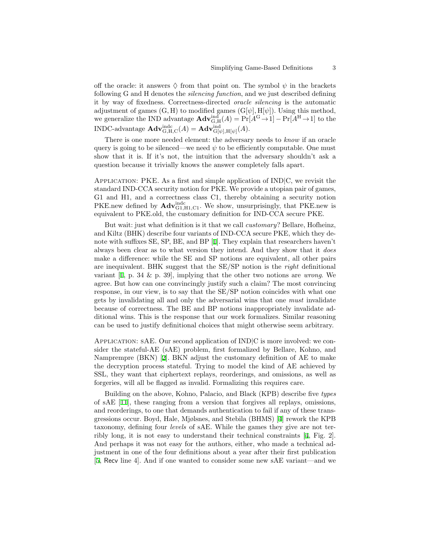<span id="page-2-0"></span>off the oracle: it answers  $\Diamond$  from that point on. The symbol  $\psi$  in the brackets following G and H denotes the *silencing function*, and we just described defining it by way of fixedness. Correctness-directed *oracle silencing* is the automatic adjustment of games  $(G, H)$  to modified games  $(G[\psi], H[\psi])$ . Using this method, we generalize the IND advantage  $\text{Adv}_{G,H}^{\text{ind}}(A) = \Pr[A^G \to 1] - \Pr[A^H \to 1]$  to the  $\text{INDC-advantage }\n\mathbf{Adv}_{\mathbf{G},\mathbf{H},\mathbf{C}}^{\text{ind}}(A) = \mathbf{Adv}_{\mathbf{G}[\psi],\mathbf{H}[\psi]}^{\text{ind}}(A).$ 

There is one more needed element: the adversary needs to *know* if an oracle query is going to be silenced—we need  $\psi$  to be efficiently computable. One must show that it is. If it's not, the intuition that the adversary shouldn't ask a question because it trivially knows the answer completely falls apart.

Application: PKE. As a first and simple application of IND*|*C, we revisit the standard IND-CCA security notion for PKE. We provide a utopian pair of games, G1 and H1, and a correctness class C1, thereby obtaining a security notion PKE.new defined by  $\mathbf{Adv}_{G1,H1,C1}^{indc}$ . We show, unsurprisingly, that PKE.new is equivalent to PKE.old, the customary definition for IND-CCA secure PKE.

But wait: just what definition is it that we call *customary*? Bellare, Hofheinz, and Kiltz (BHK) describe four variants of IND-CCA secure PKE, which they denote with suffixes SE, SP, BE, and BP [[1\]](#page-21-0). They explain that researchers haven't always been clear as to what version they intend. And they show that it *does* make a difference: while the SE and SP notions are equivalent, all other pairs are inequivalent. BHK suggest that the SE/SP notion is the *right* definitional variant [[1,](#page-21-0) p. 34 & p. 39], implying that the other two notions are *wrong*. We agree. But how can one convincingly justify such a claim? The most convincing response, in our view, is to say that the SE/SP notion coincides with what one gets by invalidating all and only the adversarial wins that one *must* invalidate because of correctness. The BE and BP notions inappropriately invalidate additional wins. This is the response that our work formalizes. Similar reasoning can be used to justify definitional choices that might otherwise seem arbitrary.

Application: sAE. Our second application of IND*|*C is more involved: we consider the stateful-AE (sAE) problem, first formalized by Bellare, Kohno, and Namprempre (BKN) [\[2](#page-21-1)]. BKN adjust the customary definition of AE to make the decryption process stateful. Trying to model the kind of AE achieved by SSL, they want that ciphertext replays, reorderings, and omissions, as well as forgeries, will all be flagged as invalid. Formalizing this requires care.

Building on the above, Kohno, Palacio, and Black (KPB) describe five *types* of sAE [\[11](#page-22-0)], these ranging from a version that forgives all replays, omissions, and reorderings, to one that demands authentication to fail if any of these transgressions occur. Boyd, Hale, Mjølsnes, and Stebila (BHMS) [[4\]](#page-22-1) rework the KPB taxonomy, defining four *levels* of sAE. While the games they give are not terribly long, it is not easy to understand their technical constraints [[4,](#page-22-1) Fig. 2]. And perhaps it was not easy for the authors, either, who made a technical adjustment in one of the four definitions about a year after their first publication [[5,](#page-22-2) Recv line 4]. And if one wanted to consider some new sAE variant—and we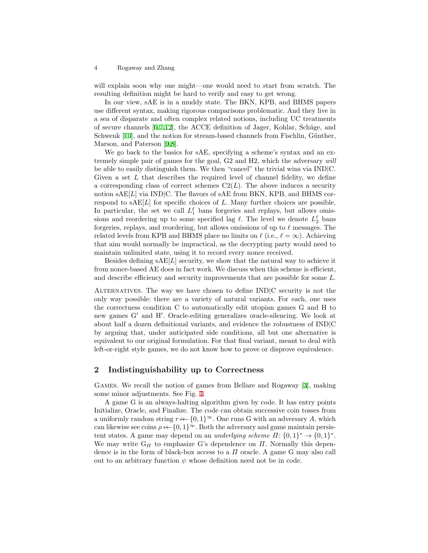<span id="page-3-1"></span>will explain soon why one might—one would need to start from scratch. The resulting definition might be hard to verify and easy to get wrong.

In our view, sAE is in a muddy state. The BKN, KPB, and BHMS papers use different syntax, making rigorous comparisons problematic. And they live in a sea of disparate and often complex related notions, including UC treatments of secure channels  $[6,7,12]$  $[6,7,12]$  $[6,7,12]$  $[6,7,12]$  $[6,7,12]$ , the ACCE definition of Jager, Kohlar, Schäge, and Schwenk  $[10]$  $[10]$ , and the notion for stream-based channels from Fischlin, Günther, Marson, and Paterson [[9,](#page-22-7)[8\]](#page-22-8).

We go back to the basics for sAE, specifying a scheme's syntax and an extremely simple pair of games for the goal, G2 and H2, which the adversary *will* be able to easily distinguish them. We then "cancel" the trivial wins via IND*|*C. Given a set L that describes the required level of channel fidelity, we define a corresponding class of correct schemes  $C_2(L)$ . The above induces a security notion sAE[*L*] via IND*|*C. The flavors of sAE from BKN, KPB, and BHMS correspond to sAE[*L*] for specific choices of *L*. Many further choices are possible. In particular, the set we call  $L_1^{\ell}$  bans forgeries and replays, but allows omissions and reordering up to some specified lag  $\ell$ . The level we denote  $L_2^{\ell}$  bans forgeries, replays, and reordering, but allows omissions of up to *ℓ* messages. The related levels from KPB and BHMS place no limits on  $\ell$  (i.e.,  $\ell = \infty$ ). Achieving that aim would normally be impractical, as the decrypting party would need to maintain unlimited state, using it to record every nonce received.

Besides defining  $sAE[L]$  security, we show that the natural way to achieve it from nonce-based AE does in fact work. We discuss when this scheme is efficient, and describe efficiency and security improvements that are possible for some *L*.

Alternatives. The way we have chosen to define IND*|*C security is not the only way possible: there are a variety of natural variants. For each, one uses the correctness condition C to automatically edit utopian games G and H to new games G*′* and H*′* . Oracle-editing generalizes oracle-silencing. We look at about half a dozen definitional variants, and evidence the robustness of IND*|*C by arguing that, under anticipated side conditions, all but one alternative is equivalent to our original formulation. For that final variant, meant to deal with left-or-right style games, we do not know how to prove or disprove equivalence.

# <span id="page-3-0"></span>**2 Indistinguishability up to Correctness**

Games. We recall the notion of games from Bellare and Rogaway [\[3](#page-21-2)], making some minor adjustments. See Fig. [1](#page-4-0).

A game G is an always-halting algorithm given by code. It has entry points Initialize, Oracle, and Finalize. The code can obtain successive coin tosses from a uniformly random string  $r \leftarrow \{0, 1\}^{\infty}$ . One runs G with an adversary *A*, which can likewise see coins  $\rho \leftarrow \{0,1\}^{\infty}$ . Both the adversary and game maintain persistent states. A game may depend on an *underlying scheme*  $\Pi: \{0,1\}^* \to \{0,1\}^*$ . We may write  $G_{\Pi}$  to emphasize G's dependence on  $\Pi$ . Normally this dependence is in the form of black-box access to a *Π* oracle. A game G may also call out to an arbitrary function  $\psi$  whose definition need not be in code.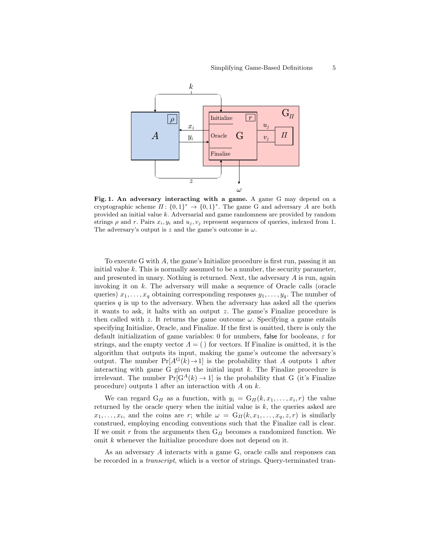

<span id="page-4-0"></span>**Fig. 1. An adversary interacting with a game.** A game G may depend on a cryptographic scheme  $\Pi: \{0,1\}^* \to \{0,1\}^*$ . The game G and adversary A are both provided an initial value *k*. Adversarial and game randomness are provided by random strings  $\rho$  and  $r$ . Pairs  $x_i, y_i$  and  $u_j, v_j$  represent sequences of queries, indexed from 1. The adversary's output is  $z$  and the game's outcome is  $\omega$ .

To execute G with *A*, the game's Initialize procedure is first run, passing it an initial value *k*. This is normally assumed to be a number, the security parameter, and presented in unary. Nothing is returned. Next, the adversary *A* is run, again invoking it on *k*. The adversary will make a sequence of Oracle calls (oracle queries)  $x_1, \ldots, x_q$  obtaining corresponding responses  $y_1, \ldots, y_q$ . The number of queries *q* is up to the adversary. When the adversary has asked all the queries it wants to ask, it halts with an output *z*. The game's Finalize procedure is then called with *z*. It returns the game outcome  $\omega$ . Specifying a game entails specifying Initialize, Oracle, and Finalize. If the first is omitted, there is only the default initialization of game variables: 0 for numbers, false for booleans, *ε* for strings, and the empty vector  $\Lambda = ($  ) for vectors. If Finalize is omitted, it is the algorithm that outputs its input, making the game's outcome the adversary's output. The number  $Pr[A^G(k) \rightarrow 1]$  is the probability that *A* outputs 1 after interacting with game G given the initial input *k*. The Finalize procedure is irrelevant. The number  $\Pr[G^A(k) \to 1]$  is the probability that G (it's Finalize procedure) outputs 1 after an interaction with *A* on *k*.

We can regard  $G_{\Pi}$  as a function, with  $y_i = G_{\Pi}(k, x_1, \ldots, x_i, r)$  the value returned by the oracle query when the initial value is *k*, the queries asked are  $x_1, \ldots, x_i$ , and the coins are *r*; while  $\omega = G_H(k, x_1, \ldots, x_q, z, r)$  is similarly construed, employing encoding conventions such that the Finalize call is clear. If we omit *r* from the arguments then G*<sup>Π</sup>* becomes a randomized function. We omit *k* whenever the Initialize procedure does not depend on it.

As an adversary *A* interacts with a game G, oracle calls and responses can be recorded in a *transcript*, which is a vector of strings. Query-terminated tran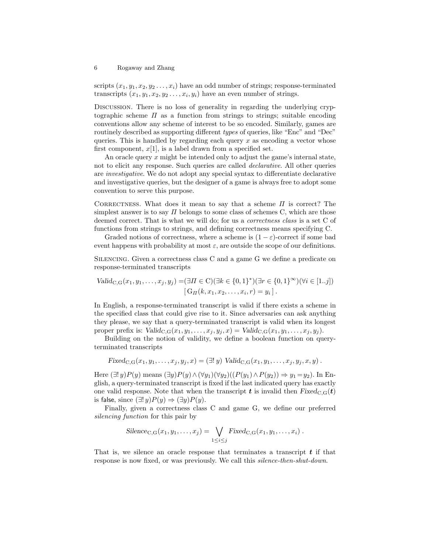scripts  $(x_1, y_1, x_2, y_2, \ldots, x_i)$  have an odd number of strings; response-terminated transcripts  $(x_1, y_1, x_2, y_2, \ldots, x_i, y_i)$  have an even number of strings.

Discussion. There is no loss of generality in regarding the underlying cryptographic scheme  $\Pi$  as a function from strings to strings; suitable encoding conventions allow any scheme of interest to be so encoded. Similarly, games are routinely described as supporting different *types* of queries, like "Enc" and "Dec" queries. This is handled by regarding each query *x* as encoding a vector whose first component,  $x[1]$ , is a label drawn from a specified set.

An oracle query *x* might be intended only to adjust the game's internal state, not to elicit any response. Such queries are called *declarative*. All other queries are *investigative*. We do not adopt any special syntax to differentiate declarative and investigative queries, but the designer of a game is always free to adopt some convention to serve this purpose.

CORRECTNESS. What does it mean to say that a scheme  $\Pi$  is correct? The simplest answer is to say  $\Pi$  belongs to some class of schemes C, which are those deemed correct. That is what we will do; for us a *correctness class* is a set C of functions from strings to strings, and defining correctness means specifying C.

Graded notions of correctness, where a scheme is  $(1 - \varepsilon)$ -correct if some bad event happens with probability at most  $\varepsilon$ , are outside the scope of our definitions.

Silencing. Given a correctness class C and a game G we define a predicate on response-terminated transcripts

*Valid*C*,*G(*x*1*, y*1*, . . . , x<sup>j</sup> , y<sup>j</sup>* ) =(*∃Π ∈* C)(*∃k ∈ {*0*,* 1*} ∗* )(*∃r ∈ {*0*,* 1*} <sup>∞</sup>*)(*∀i ∈* [1*..j*]) [ G*Π*(*k, x*1*, x*2*, . . . , x<sup>i</sup> , r*) = *y<sup>i</sup>* ] *.*

In English, a response-terminated transcript is valid if there exists a scheme in the specified class that could give rise to it. Since adversaries can ask anything they please, we say that a query-terminated transcript is valid when its longest proper prefix is:  $\text{Valid}_{C,G}(x_1, y_1, \ldots, x_i, y_i, x) = \text{Valid}_{C,G}(x_1, y_1, \ldots, x_i, y_i).$ 

Building on the notion of validity, we define a boolean function on queryterminated transcripts

$$
Fixed_{\mathcal{C},\mathcal{G}}(x_1,y_1,\ldots,x_j,y_j,x)=(\exists!~y)~\mathit{Valid}_{\mathcal{C},\mathcal{G}}(x_1,y_1,\ldots,x_j,y_j,x,y).
$$

Here  $(\exists! y)P(y)$  means  $(\exists y)P(y) \land (\forall y_1)(\forall y_2)((P(y_1) \land P(y_2)) \Rightarrow y_1 = y_2)$ . In English, a query-terminated transcript is fixed if the last indicated query has exactly one valid response. Note that when the transcript  $t$  is invalid then  $Fixed_{C,G}(t)$ is false, since (*∃*! *y*)*P*(*y*) *⇒* (*∃y*)*P*(*y*).

Finally, given a correctness class C and game G, we define our preferred *silencing function* for this pair by

$$
Silence_{C,G}(x_1, y_1, \ldots, x_j) = \bigvee_{1 \leq i \leq j} Fixed_{C,G}(x_1, y_1, \ldots, x_i) .
$$

That is, we silence an oracle response that terminates a transcript *t* if that response is now fixed, or was previously. We call this *silence-then-shut-down*.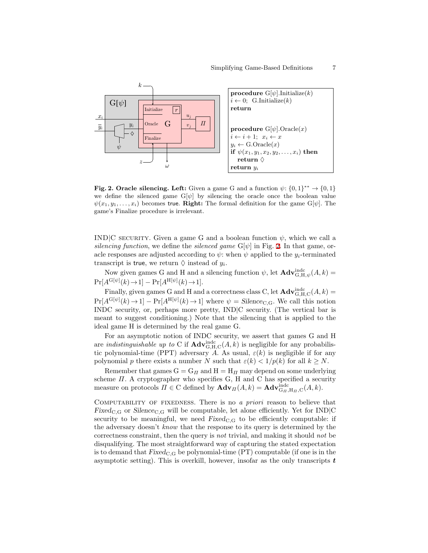

<span id="page-6-0"></span>**Fig. 2. Oracle silencing. Left:** Given a game G and a function  $\psi$ :  $\{0,1\}^{**} \to \{0,1\}$ we define the silenced game  $G[\psi]$  by silencing the oracle once the boolean value  $\psi(x_1, y_1, \ldots, x_i)$  becomes true. **Right:** The formal definition for the game G[ $\psi$ ]. The game's Finalize procedure is irrelevant.

IND<sub>I</sub>C securative. Given a game G and a boolean function  $\psi$ , which we call a *silencing function*, we define the *silenced game*  $G[\psi]$  in Fig. [2](#page-6-0). In that game, oracle responses are adjusted according to  $\psi$ : when  $\psi$  applied to the  $y_i$ -terminated transcript is true, we return  $\Diamond$  instead of  $y_i$ .

Now given games G and H and a silencing function  $\psi$ , let  $\mathbf{Adv}_{G,H,\psi}^{\text{indc}}(A,k)$  $\Pr[A^{\text{G}[\psi]}(k) \rightarrow 1] - \Pr[A^{\text{H}[\psi]}(k) \rightarrow 1].$ 

Finally, given games G and H and a correctness class C, let  $\mathbf{Adv}_{\mathrm{G,H,C}}^{\mathrm{indc}}(A,k)$  =  $Pr[A^{G[\psi]}(k) \to 1] - Pr[A^{H[\psi]}(k) \to 1]$  where  $\psi =$  *Silence*<sub>C*,G</sub>*. We call this notion</sub> INDC security, or, perhaps more pretty, IND*|*C security. (The vertical bar is meant to suggest conditioning.) Note that the silencing that is applied to the ideal game H is determined by the real game G.

For an asymptotic notion of INDC security, we assert that games G and H are *indistinguishable up to* C if  $\mathbf{Adv}_{G,H,C}^{\text{indc}}(A,k)$  is negligible for any probabilistic polynomial-time (PPT) adversary A. As usual,  $\varepsilon(k)$  is negligible if for any polynomial *p* there exists a number *N* such that  $\varepsilon(k) < 1/p(k)$  for all  $k \geq N$ .

Remember that games  $G = G_H$  and  $H = H_H$  may depend on some underlying scheme *Π*. A cryptographer who specifies G, H and C has specified a security measure on protocols  $\Pi \in \mathcal{C}$  defined by  $\mathbf{Adv}_{\Pi}(A, k) = \mathbf{Adv}_{\mathcal{G}_{\Pi},\mathcal{H}_{\Pi},\mathcal{C}}^{\text{index}}(A, k)$ .

COMPUTABILITY OF FIXEDNESS. There is no *a priori* reason to believe that *Fixed<sub>C,G</sub>* or *Silence<sub>C,G</sub>* will be computable, let alone efficiently. Yet for IND|C security to be meaningful, we need  $Fixed_{C,G}$  to be efficiently computable: if the adversary doesn't *know* that the response to its query is determined by the correctness constraint, then the query is *not* trivial, and making it should *not* be disqualifying. The most straightforward way of capturing the stated expectation is to demand that  $Fixed_{C,G}$  be polynomial-time  $(PT)$  computable (if one is in the asymptotic setting). This is overkill, however, insofar as the only transcripts *t*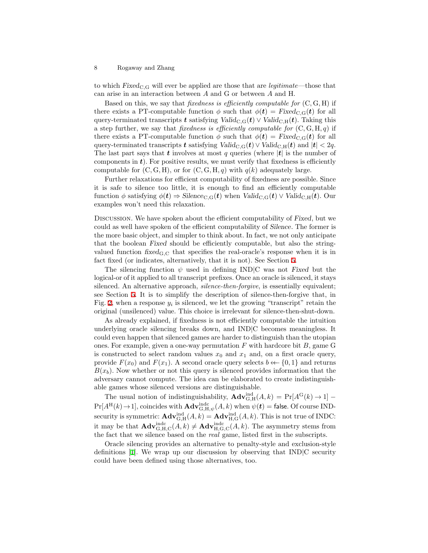<span id="page-7-0"></span>to which  $Fixed_{C,G}$  will ever be applied are those that are *legitimate*—those that can arise in an interaction between *A* and G or between *A* and H.

Based on this, we say that *fixedness is efficiently computable for* (C*,* G*,* H) if there exists a PT-computable function  $\phi$  such that  $\phi(t) = Fixed_{C,G}(t)$  for all query-terminated transcripts *t* satisfying  $Valid_{C,G}(t) \vee Valid_{C,H}(t)$ . Taking this a step further, we say that *fixedness is efficiently computable for* (C*,* G*,* H*, q*) if there exists a PT-computable function  $\phi$  such that  $\phi(\mathbf{t}) = \text{Fixed}_{C,G}(\mathbf{t})$  for all query-terminated transcripts *t* satisfying  $Valid_{C,G}(t) \vee Valid_{C,H}(t)$  and  $|t| < 2q$ . The last part says that **t** involves at most q queries (where  $|t|$  is the number of components in  $t$ ). For positive results, we must verify that fixedness is efficiently computable for  $(C, G, H)$ , or for  $(C, G, H, q)$  with  $q(k)$  adequately large.

Further relaxations for efficient computability of fixedness are possible. Since it is safe to silence too little, it is enough to find an efficiently computable function  $\phi$  satisfying  $\phi(t) \Rightarrow$  *Silence*<sub>C*,G</sub>(<i>t*) when *Valid<sub>C</sub>,G(t)*  $\lor$  *Valid<sub>C</sub><sub><i>H*</sub>(*t*). Our</sub> examples won't need this relaxation.

Discussion. We have spoken about the efficient computability of *Fixed*, but we could as well have spoken of the efficient computability of *Silence*. The former is the more basic object, and simpler to think about. In fact, we not only anticipate that the boolean *Fixed* should be efficiently computable, but also the stringvalued function  $fixed_{G,C}$  that specifies the real-oracle's response when it is in fact fixed (or indicates, alternatively, that it is not). See Section [5](#page-17-0).

The silencing function *ψ* used in defining IND*|*C was not *Fixed* but the logical-or of it applied to all transcript prefixes. Once an oracle is silenced, it stays silenced. An alternative approach, *silence-then-forgive*, is essentially equivalent; see Section [5](#page-17-0). It is to simplify the description of silence-then-forgive that, in Fig. [2,](#page-6-0) when a response  $y_i$  is silenced, we let the growing "transcript" retain the original (unsilenced) value. This choice is irrelevant for silence-then-shut-down.

As already explained, if fixedness is not efficiently computable the intuition underlying oracle silencing breaks down, and IND*|*C becomes meaningless. It could even happen that silenced games are harder to distinguish than the utopian ones. For example, given a one-way permutation *F* with hardcore bit *B*, game G is constructed to select random values  $x_0$  and  $x_1$  and, on a first oracle query, provide  $F(x_0)$  and  $F(x_1)$ . A second oracle query selects  $b \leftarrow \{0, 1\}$  and returns  $B(x<sub>b</sub>)$ . Now whether or not this query is silenced provides information that the adversary cannot compute. The idea can be elaborated to create indistinguishable games whose silenced versions are distinguishable.

The usual notion of indistinguishability,  $\mathbf{Adv}_{G,H}^{ind}(A, k) = \Pr[A^G(k) \to 1] \Pr[A^\text{H}(k) \!\to\! 1],$  coincides with  $\mathbf{Adv}_{\mathrm{G,H},\psi}^{\mathrm{indc}}(A,k)$  when  $\psi(\boldsymbol{t}) =$  false. Of course INDsecurity is symmetric:  $\mathbf{Adv}_{G,H}^{\text{ind}}(A, k) = \mathbf{Adv}_{H,G}^{\text{ind}}(A, k)$ . This is not true of INDC: it may be that  $\text{Adv}_{G,H,C}^{\text{indc}}(A,k) \neq \text{Adv}_{H,G,C}^{\text{indc}}(A,k)$ . The asymmetry stems from the fact that we silence based on the *real* game, listed first in the subscripts.

Oracle silencing provides an alternative to penalty-style and exclusion-style definitions [[1](#page-21-0)]. We wrap up our discussion by observing that IND*|*C security could have been defined using those alternatives, too.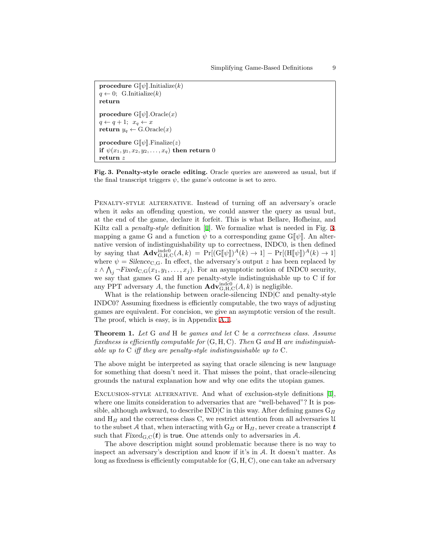```
procedure G[\![\psi]\!].Initialize(k)q \leftarrow 0; G.Initialize(k)
return
procedure G[\![\psi]\!].Oracle(x)q ← q + 1; x_q ← x
return y_q \leftarrow G.Oracle(x)procedure G[\![\psi]\!].Finalize(z)if \psi(x_1, y_1, x_2, y_2, \ldots, x_q) then return 0
return z
```
<span id="page-8-0"></span>**Fig. 3. Penalty-style oracle editing.** Oracle queries are answered as usual, but if the final transcript triggers  $\psi$ , the game's outcome is set to zero.

PENALTY-STYLE ALTERNATIVE. Instead of turning off an adversary's oracle when it asks an offending question, we could answer the query as usual but, at the end of the game, declare it forfeit. This is what Bellare, Hofheinz, and Kiltz call a *penalty-style* definition [[1\]](#page-21-0). We formalize what is needed in Fig. [3,](#page-8-0) mapping a game G and a function  $\psi$  to a corresponding game G $\llbracket \psi \rrbracket$ . An alternative version of indistinguishability up to correctness, INDC0, is then defined by saying that  $\mathbf{Adv}_{G,H,C}^{indco}(A,k) = \Pr[(G[\![\psi]\!])^A(k) \to 1] - \Pr[(H[\![\psi]\!])^A(k) \to 1]$ where  $\psi = \text{Silence}_{C,G}$ . In effect, the adversary's output *z* has been replaced by *z* ∧  $\bigwedge_j$  ¬*Fixed*<sub>C,G</sub>( $x_1, y_1, \ldots, x_j$ ). For an asymptotic notion of INDC0 security, we say that games G and H are penalty-style indistinguishable up to C if for any PPT adversary *A*, the function  $\mathbf{Adv}_{G,H,C}^{indc}(A,k)$  is negligible.

What is the relationship between oracle-silencing IND*|*C and penalty-style INDC0? Assuming fixedness is efficiently computable, the two ways of adjusting games are equivalent. For concision, we give an asymptotic version of the result. The proof, which is easy, is in Appendix [A.1.](#page-22-9)

<span id="page-8-2"></span>**Theorem 1.** *Let* G *and* H *be games and let* C *be a correctness class. Assume fixedness is efficiently computable for* (G*,* H*,* C)*. Then* G *and* H *are indistinguishable up to* C *iff they are penalty-style indistinguishable up to* C*.*

The above might be interpreted as saying that oracle silencing is new language for something that doesn't need it. That misses the point, that oracle-silencing grounds the natural explanation how and why one edits the utopian games.

Exclusion-style alternative. And what of exclusion-style definitions [[1](#page-21-0)], where one limits consideration to adversaries that are "well-behaved"? It is possible, although awkward, to describe IND<sub>|</sub>C in this way. After defining games  $G_{\Pi}$ and  $H$ <sup>*I*</sup> and the correctness class C, we restrict attention from all adversaries U to the subset A that, when interacting with  $G_{\Pi}$  or  $H_{\Pi}$ , never create a transcript **t** such that  $Fixed_{G,C}(t)$  is true. One attends only to adversaries in A.

The above description might sound problematic because there is no way to inspect an adversary's description and know if it's in A. It doesn't matter. As long as fixedness is efficiently computable for (G*,* H*,* C), one can take an adversary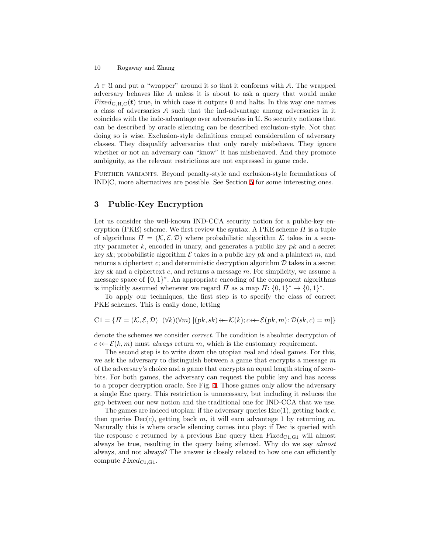$A \in \mathcal{U}$  and put a "wrapper" around it so that it conforms with A. The wrapped adversary behaves like *A* unless it is about to ask a query that would make *Fixed*<sub>G,H,C</sub>(*t*) true, in which case it outputs 0 and halts. In this way one names a class of adversaries A such that the ind-advantage among adversaries in it coincides with the indc-advantage over adversaries in U. So security notions that can be described by oracle silencing can be described exclusion-style. Not that doing so is wise. Exclusion-style definitions compel consideration of adversary classes. They disqualify adversaries that only rarely misbehave. They ignore whether or not an adversary can "know" it has misbehaved. And they promote ambiguity, as the relevant restrictions are not expressed in game code.

Further variants. Beyond penalty-style and exclusion-style formulations of IND*|*C, more alternatives are possible. See Section [5](#page-17-0) for some interesting ones.

# <span id="page-9-0"></span>**3 Public-Key Encryption**

Let us consider the well-known IND-CCA security notion for a public-key encryption (PKE) scheme. We first review the syntax. A PKE scheme *Π* is a tuple of algorithms  $\Pi = (\mathcal{K}, \mathcal{E}, \mathcal{D})$  where probabilistic algorithm  $\mathcal K$  takes in a security parameter *k*, encoded in unary, and generates a public key *pk* and a secret key *sk*; probabilistic algorithm  $\mathcal E$  takes in a public key *pk* and a plaintext *m*, and returns a ciphertext *c*; and deterministic decryption algorithm *D* takes in a secret key *sk* and a ciphertext *c*, and returns a message *m*. For simplicity, we assume a message space of *{*0*,* 1*} ∗* . An appropriate encoding of the component algorithms is implicitly assumed whenever we regard *Π* as a map  $\Pi: \{0,1\}^* \to \{0,1\}^*$ .

To apply our techniques, the first step is to specify the class of correct PKE schemes. This is easily done, letting

$$
C1 = \{ \Pi = (\mathcal{K}, \mathcal{E}, \mathcal{D}) \mid (\forall k)(\forall m) \left[ (pk, sk) \leftrightarrow \mathcal{K}(k); c \leftrightarrow \mathcal{E}(pk, m) : \mathcal{D}(sk, c) = m \right] \}
$$

denote the schemes we consider *correct*. The condition is absolute: decryption of  $c \leftarrow \mathcal{E}(k, m)$  must *always* return *m*, which is the customary requirement.

The second step is to write down the utopian real and ideal games. For this, we ask the adversary to distinguish between a game that encrypts a message *m* of the adversary's choice and a game that encrypts an equal length string of zerobits. For both games, the adversary can request the public key and has access to a proper decryption oracle. See Fig. [4.](#page-10-0) Those games only allow the adversary a single Enc query. This restriction is unnecessary, but including it reduces the gap between our new notion and the traditional one for IND-CCA that we use.

The games are indeed utopian: if the adversary queries Enc(1), getting back *c*, then queries  $Dec(c)$ , getting back *m*, it will earn advantage 1 by returning *m*. Naturally this is where oracle silencing comes into play: if Dec is queried with the response *c* returned by a previous Enc query then  $Fixed_{C1,G1}$  will almost always be true, resulting in the query being silenced. Why do we say *almost* always, and not always? The answer is closely related to how one can efficiently compute  $Fixed_{C1,G1}$ .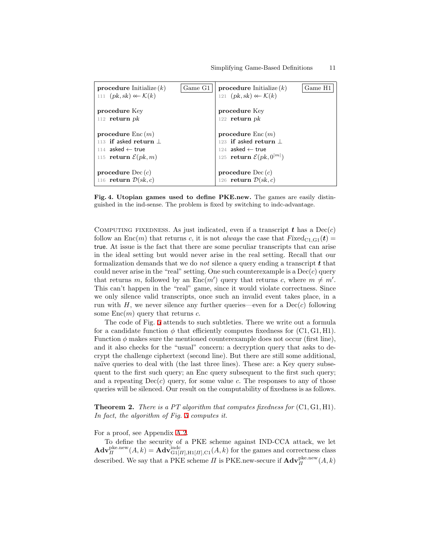| <b>procedure</b> Initialize $(k)$<br>111 $(pk, sk) \leftarrow \mathcal{K}(k)$                                               | Game G1 | <b>procedure</b> Initialize $(k)$<br>121 (pk, sk) $\nleftrightarrow$ $\mathcal{K}(k)$                                            | Game H <sub>1</sub> |
|-----------------------------------------------------------------------------------------------------------------------------|---------|----------------------------------------------------------------------------------------------------------------------------------|---------------------|
| procedure Key<br>112 return $pk$                                                                                            |         | procedure Key<br>$122$ return $pk$                                                                                               |                     |
| procedure $Enc(m)$<br>$113$ if asked return $\perp$<br>114 asked $\leftarrow$ true<br>115 <b>return</b> $\mathcal{E}(pk,m)$ |         | procedure $Enc(m)$<br>123 if asked return $\perp$<br>124 asked $\leftarrow$ true<br>125 <b>return</b> $\mathcal{E}(pk, 0^{ m })$ |                     |
| procedure $Dec(c)$<br>116 <b>return</b> $\mathcal{D}(sk, c)$                                                                |         | procedure $Dec(c)$<br>126 <b>return</b> $\mathcal{D}(sk, c)$                                                                     |                     |

<span id="page-10-0"></span>**Fig. 4. Utopian games used to define PKE.new.** The games are easily distinguished in the ind-sense. The problem is fixed by switching to indc-advantage.

COMPUTING FIXEDNESS. As just indicated, even if a transcript  $t$  has a  $Dec(c)$ follow an  $Enc(m)$  that returns *c*, it is not *always* the case that  $Fixed_{C1,G1}(t)$ true. At issue is the fact that there are some peculiar transcripts that can arise in the ideal setting but would never arise in the real setting. Recall that our formalization demands that we do *not* silence a query ending a transcript *t* that could never arise in the "real" setting. One such counterexample is a  $Dec(c)$  query that returns *m*, followed by an  $Enc(m')$  query that returns *c*, where  $m \neq m'$ . This can't happen in the "real" game, since it would violate correctness. Since we only silence valid transcripts, once such an invalid event takes place, in a run with  $H$ , we never silence any further queries—even for a  $Dec(c)$  following some Enc(*m*) query that returns *c*.

The code of Fig. [5](#page-11-0) attends to such subtleties. There we write out a formula for a candidate function  $\phi$  that efficiently computes fixedness for  $(C1, G1, H1)$ . Function  $\phi$  makes sure the mentioned counterexample does not occur (first line), and it also checks for the "usual" concern: a decryption query that asks to decrypt the challenge ciphertext (second line). But there are still some additional, naïve queries to deal with (the last three lines). These are: a Key query subsequent to the first such query; an Enc query subsequent to the first such query; and a repeating  $Dec(c)$  query, for some value c. The responses to any of those queries will be silenced. Our result on the computability of fixedness is as follows.

<span id="page-10-1"></span>**Theorem 2.** *There is a PT algorithm that computes fixedness for* (C1*,* G1*,* H1)*. In fact, the algorithm of Fig. [5](#page-11-0) computes it.*

For a proof, see Appendix [A.2.](#page-23-0)

To define the security of a PKE scheme against IND-CCA attack, we let  $\mathbf{Adv}_{\Pi}^{\text{pke,new}}(A,k) = \mathbf{Adv}_{\text{GI}[H],\text{FI}[H],\text{CI}}^{indc}(A,k)$  for the games and correctness class described. We say that a PKE scheme *Π* is PKE.new-secure if  $\mathbf{Adv}_{\Pi}^{\mathsf{pke,new}}(A, k)$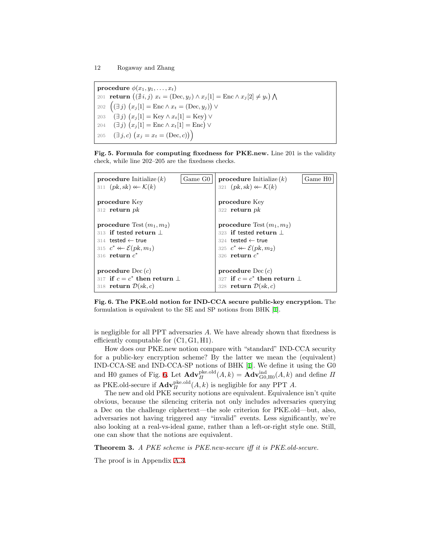<span id="page-11-3"></span>**procedure**  $\phi(x_1, y_1, \ldots, x_t)$ 201 **return**  $((\nexists i, j) x_i = (\text{Dec}, y_j) \land x_j[1] = \text{Enc} \land x_j[2] \neq y_i) \bigwedge$ <sup>202</sup> (  $(\exists j)$   $(x_j[1] = \text{Enc} \land x_t = (\text{Dec}, y_j)) \lor$ 203  $(\exists j) (x_j[1] = \text{Key} \wedge x_t[1] = \text{Key}) \vee$ 204 ( $\exists j$ )  $(x_j[1] = \text{Enc} \land x_t[1] = \text{Enc} \land \lor$ 205 ( $\exists j, c$ )  $(x_j = x_t = (\text{Dec}, c))$ 

<span id="page-11-0"></span>**Fig. 5. Formula for computing fixedness for PKE.new.** Line 201 is the validity check, while line 202–205 are the fixedness checks.

| <b>procedure</b> Initialize $(k)$         | <b>procedure</b> Initialize $(k)$         |
|-------------------------------------------|-------------------------------------------|
| Game G0                                   | Game H <sub>0</sub>                       |
| 311 $(pk, sk) \leftarrow \mathcal{K}(k)$  | 321 $(pk, sk) \leftarrow \mathcal{K}(k)$  |
| procedure Key                             | procedure Key                             |
| $312$ return $pk$                         | $322$ return $pk$                         |
| <b>procedure</b> Test $(m_1, m_2)$        | <b>procedure</b> Test $(m_1, m_2)$        |
| 313 if tested return $\perp$              | 323 if tested return $\perp$              |
| 314 tested $\leftarrow$ true              | 324 tested $\leftarrow$ true              |
| 315 $c^* \leftarrow \mathcal{E}(pk, m_1)$ | 325 $c^* \leftarrow \mathcal{E}(pk, m_2)$ |
| 316 return $c^*$                          | 326 return $c^*$                          |
| procedure $Dec(c)$                        | <b>procedure</b> $Dec(c)$                 |
| 317 if $c = c^*$ then return $\perp$      | 327 if $c = c^*$ then return $\perp$      |
| 318 return $\mathcal{D}(sk,c)$            | 328 return $\mathcal{D}(sk, c)$           |

<span id="page-11-1"></span>**Fig. 6. The PKE.old notion for IND-CCA secure public-key encryption.** The formulation is equivalent to the SE and SP notions from BHK [[1](#page-21-0)].

is negligible for all PPT adversaries *A*. We have already shown that fixedness is efficiently computable for (C1*,* G1*,* H1).

How does our PKE.new notion compare with "standard" IND-CCA security for a public-key encryption scheme? By the latter we mean the (equivalent) IND-CCA-SE and IND-CCA-SP notions of BHK [[1\]](#page-21-0). We define it using the G0 and H0 games of Fig. [6](#page-11-1). Let  $\mathbf{Adv}_{\Pi}^{\text{pke.old}}(A, k) = \mathbf{Adv}_{\text{G0},\text{H0}}^{\text{ind}}(A, k)$  and define  $\Pi$ as PKE.old-secure if  $\mathbf{Adv}_{\Pi}^{\text{pke.old}}(A, k)$  is negligible for any PPT *A*.

The new and old PKE security notions are equivalent. Equivalence isn't quite obvious, because the silencing criteria not only includes adversaries querying a Dec on the challenge ciphertext—the sole criterion for PKE.old—but, also, adversaries not having triggered any "invalid" events. Less significantly, we're also looking at a real-vs-ideal game, rather than a left-or-right style one. Still, one can show that the notions are equivalent.

<span id="page-11-2"></span>**Theorem 3.** *A PKE scheme is PKE.new-secure iff it is PKE.old-secure.*

The proof is in Appendix [A.3.](#page-24-0)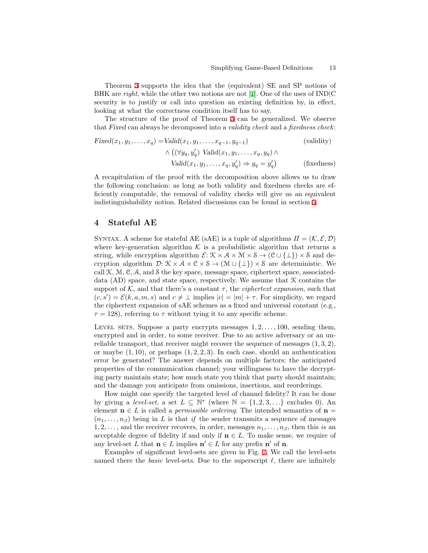<span id="page-12-0"></span>Theorem [3](#page-11-2) supports the idea that the (equivalent) SE and SP notions of BHK are *right*, while the other two notions are not [[1\]](#page-21-0). One of the uses of IND*|*C security is to justify or call into question an existing definition by, in effect, looking at what the correctness condition itself has to say.

The structure of the proof of Theorem [3](#page-11-2) can be generalized. We observe that *Fixed* can always be decomposed into a *validity check* and a *fixedness check*:

$$
Fixed(x_1, y_1, \dots, x_q) = Valid(x_1, y_1, \dots, x_{q-1}, y_{q-1})
$$
 (validity)  

$$
\wedge ((\forall y_q, y'_q) \text{ Valid}(x_1, y_1, \dots, x_q, y_q) \wedge
$$

$$
Valid(x_1, y_1, \dots, x_q, y'_q) \Rightarrow y_q = y'_q)
$$
 (fixedness)

A recapitulation of the proof with the decomposition above allows us to draw the following conclusion: as long as both validity and fixedness checks are efficiently computable, the removal of validity checks will give us an equivalent indistinguishability notion. Related discussions can be found in section [5.](#page-17-0)

# **4 Stateful AE**

SYNTAX. A scheme for stateful AE (sAE) is a tuple of algorithms  $\Pi = (\mathcal{K}, \mathcal{E}, \mathcal{D})$ where key-generation algorithm  $K$  is a probabilistic algorithm that returns a string, while encryption algorithm  $\mathcal{E}: \mathcal{K} \times \mathcal{A} \times \mathcal{M} \times \mathcal{S} \rightarrow (\mathcal{C} \cup \{\perp\}) \times \mathcal{S}$  and decryption algorithm  $\mathcal{D}: \mathcal{K} \times \mathcal{A} \times \mathcal{C} \times \mathcal{S} \rightarrow (\mathcal{M} \cup \{\perp\}) \times \mathcal{S}$  are deterministic. We call  $K, M, C, A$ , and S the key space, message space, ciphertext space, associateddata  $(AD)$  space, and state space, respectively. We assume that  $K$  contains the support of  $K$ , and that there's a constant  $\tau$ , the *ciphertext expansion*, such that  $(c, s') = \mathcal{E}(k, a, m, s)$  and  $c \neq \bot$  implies  $|c| = |m| + \tau$ . For simplicity, we regard the ciphertext expansion of sAE schemes as a fixed and universal constant (e.g.,  $\tau = 128$ , referring to  $\tau$  without tying it to any specific scheme.

LEVEL SETS. Suppose a party encrypts messages  $1, 2, \ldots, 100$ , sending them, encrypted and in order, to some receiver. Due to an active adversary or an unreliable transport, that receiver might recover the sequence of messages (1*,* 3*,* 2), or maybe (1*,* 10), or perhaps (1*,* 2*,* 2*,* 3). In each case, should an authentication error be generated? The answer depends on multiple factors: the anticipated properties of the communication channel; your willingness to have the decrypting party maintain state; how much state you think that party should maintain; and the damage you anticipate from omissions, insertions, and reorderings.

How might one specify the targeted level of channel fidelity? It can be done by giving a *level-set*, a set  $L \subseteq \mathbb{N}^*$  (where  $\mathbb{N} = \{1, 2, 3, \ldots\}$  excludes 0). An element  $\mathbf{n} \in L$  is called a *permissible ordering*. The intended semantics of  $\mathbf{n} =$  $(n_1, \ldots, n_\beta)$  being in *L* is that *if* the sender transmits a sequence of messages 1, 2, ..., and the receiver recovers, in order, messages  $n_1, \ldots, n_\beta$ , then this *is* an acceptable degree of fidelity if and only if  $\mathbf{n} \in L$ . To make sense, we require of any level-set *L* that  $\mathbf{n} \in L$  implies  $\mathbf{n}' \in L$  for any prefix  $\mathbf{n}'$  of  $\mathbf{n}$ .

Examples of significant level-sets are given in Fig. [7.](#page-13-0) We call the level-sets named there the *basic* level-sets. Due to the superscript *ℓ*, there are infinitely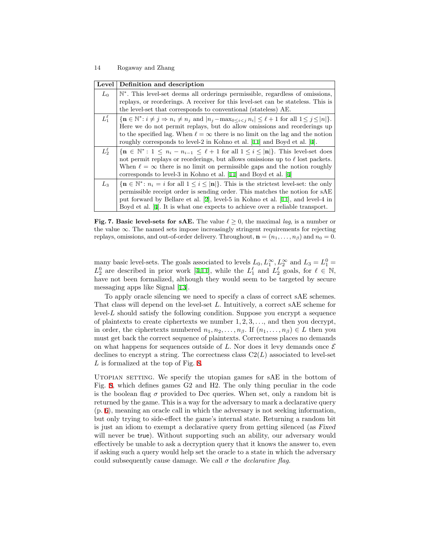<span id="page-13-1"></span>

| Level        | Definition and description                                                                                                                                                                                                                                                                                                                                                                                           |
|--------------|----------------------------------------------------------------------------------------------------------------------------------------------------------------------------------------------------------------------------------------------------------------------------------------------------------------------------------------------------------------------------------------------------------------------|
| $L_0$        | $\mathbb{N}^*$ . This level-set deems all orderings permissible, regardless of omissions,<br>replays, or reorderings. A receiver for this level-set can be stateless. This is<br>the level-set that corresponds to conventional (stateless) AE.                                                                                                                                                                      |
| $L_1^{\ell}$ | $\{n \in \mathbb{N}^*: i \neq j \Rightarrow n_i \neq n_j \text{ and }  n_j - \max_{0 \leq i \leq j} n_i  \leq \ell + 1 \text{ for all } 1 \leq j \leq  n \}.$<br>Here we do not permit replays, but do allow omissions and reorderings up<br>to the specified lag. When $\ell = \infty$ there is no limit on the lag and the notion<br>roughly corresponds to level-2 in Kohno et al. $ 11 $ and Boyd et al. $ 4 $ . |
| $L_2^{\ell}$ | $\{n \in \mathbb{N}^*: 1 \leq n_i - n_{i-1} \leq \ell + 1 \text{ for all } 1 \leq i \leq  n \}.$ This level-set does<br>not permit replays or reorderings, but allows omissions up to $\ell$ lost packets.<br>When $\ell = \infty$ there is no limit on permissible gaps and the notion roughly<br>corresponds to level-3 in Kohno et al. [11] and Boyd et al. [4]                                                   |
| $L_3$        | $\{n \in \mathbb{N}^* : n_i = i \text{ for all } 1 \leq i \leq  n \}.$ This is the strictest level-set: the only<br>permissible receipt order is sending order. This matches the notion for sAE<br>put forward by Bellare et al. $[2]$ , level-5 in Kohno et al. $[11]$ , and level-4 in<br>Boyd et al. [4]. It is what one expects to achieve over a reliable transport.                                            |

<span id="page-13-0"></span>**Fig. 7. Basic level-sets for sAE.** The value  $\ell \geq 0$ , the maximal *lag*, is a number or the value *∞*. The named sets impose increasingly stringent requirements for rejecting replays, omissions, and out-of-order delivery. Throughout,  $\mathbf{n} = (n_1, \ldots, n_\beta)$  and  $n_0 = 0$ .

many basic level-sets. The goals associated to levels  $L_0, L_1^{\infty}, L_2^{\infty}$  and  $L_3 = L_1^0 =$  $L_2^0$  are described in prior work [[4](#page-22-1),[11\]](#page-22-0), while the  $L_1^{\ell}$  and  $L_2^{\ell}$  goals, for  $\ell \in \mathbb{N}$ , have not been formalized, although they would seem to be targeted by secure messaging apps like Signal [\[13](#page-22-10)].

To apply oracle silencing we need to specify a class of correct sAE schemes. That class will depend on the level-set *L*. Intuitively, a correct sAE scheme for level-*L* should satisfy the following condition. Suppose you encrypt a sequence of plaintexts to create ciphertexts we number 1*,* 2*,* 3*, . . .*, and then you decrypt, in order, the ciphertexts numbered  $n_1, n_2, \ldots, n_\beta$ . If  $(n_1, \ldots, n_\beta) \in L$  then you must get back the correct sequence of plaintexts. Correctness places no demands on what happens for sequences outside of  $L$ . Nor does it levy demands once  $\mathcal E$ declines to encrypt a string. The correctness class C2(*L*) associated to level-set *L* is formalized at the top of Fig. [8](#page-14-0).

UTOPIAN SETTING. We specify the utopian games for sAE in the bottom of Fig. [8](#page-14-0), which defines games G2 and H2. The only thing peculiar in the code is the boolean flag  $\sigma$  provided to Dec queries. When set, only a random bit is returned by the game. This is a way for the adversary to mark a declarative query (p. [6\)](#page-4-0), meaning an oracle call in which the adversary is not seeking information, but only trying to side-effect the game's internal state. Returning a random bit is just an idiom to exempt a declarative query from getting silenced (as *Fixed* will never be true). Without supporting such an ability, our adversary would effectively be unable to ask a decryption query that it knows the answer to, even if asking such a query would help set the oracle to a state in which the adversary could subsequently cause damage. We call  $\sigma$  the *declarative flag*.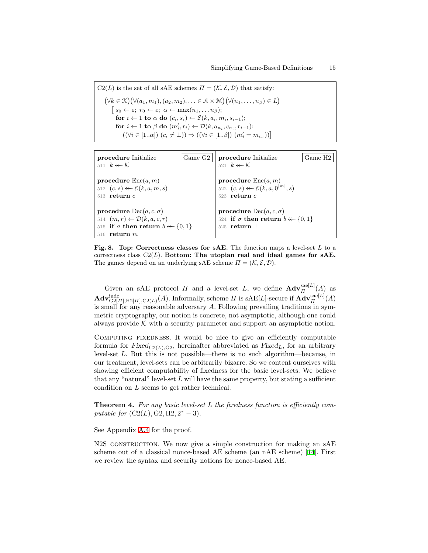<span id="page-14-1"></span>C2(*L*) is the set of all sAE schemes  $\Pi = (\mathcal{K}, \mathcal{E}, \mathcal{D})$  that satisfy:  $(\forall k \in \mathcal{K}) (\forall (a_1, m_1), (a_2, m_2), \ldots \in \mathcal{A} \times \mathcal{M}) (\forall (n_1, \ldots, n_\beta) \in L)$  $\begin{bmatrix} s_0 \leftarrow \varepsilon; r_0 \leftarrow \varepsilon; \alpha \leftarrow \max(n_1, \ldots n_\beta); \end{bmatrix}$ **for**  $i \leftarrow 1$  **to**  $\alpha$  **do**  $(c_i, s_i) \leftarrow \mathcal{E}(k, a_i, m_i, s_{i-1});$  $\textbf{for } i \leftarrow 1 \textbf{ to } \beta \textbf{ do } (m'_i, r_i) \leftarrow \mathcal{D}(k, a_{n_i}, c_{n_i}, r_{i-1})$ :  $((\forall i \in [1.. \alpha]) (c_i \neq \bot)) \Rightarrow ((\forall i \in [1.. \beta]) (m'_i = m_{n_i}))$ 

| procedure Initialize<br>Game $G2$<br>511 $k \leftarrow \mathcal{K}$                                                                                            | procedure Initialize<br>Game H <sub>2</sub><br>521 $k \leftarrow \mathcal{K}$                                |
|----------------------------------------------------------------------------------------------------------------------------------------------------------------|--------------------------------------------------------------------------------------------------------------|
| <b>procedure</b> $Enc(a, m)$<br>512 $(c, s) \leftarrow \mathcal{E}(k, a, m, s)$<br>$513$ return $c$                                                            | <b>procedure</b> Enc $(a, m)$<br>522 $(c, s) \leftarrow \mathcal{E}(k, a, 0^{ m }, s)$<br>523 return $c$     |
| <b>procedure</b> $Dec(a, c, \sigma)$<br>514 $(m,r) \leftarrow \mathcal{D}(k,a,c,r)$<br>515 if $\sigma$ then return $b \leftarrow \{0,1\}$<br>return $m$<br>516 | procedure $Dec(a, c, \sigma)$<br>524 if $\sigma$ then return $b \leftarrow \{0, 1\}$<br>$525$ return $\perp$ |

<span id="page-14-0"></span>**Fig. 8. Top: Correctness classes for sAE.** The function maps a level-set *L* to a correctness class  $C_2(L)$ . **Bottom:** The utopian real and ideal games for sAE. The games depend on an underlying sAE scheme  $\Pi = (\mathcal{K}, \mathcal{E}, \mathcal{D})$ .

Given an sAE protocol *Π* and a level-set *L*, we define  $\mathbf{Adv}_{\Pi}^{\text{safe}[L]}(A)$  as  $\mathbf{Adv}_{G2[H],H2[H],C2(L)}^{indc}(A)$ . Informally, scheme *Π* is sAE[*L*]-secure if  $\mathbf{Adv}_{H}^{sae[L]}(A)$ is small for any reasonable adversary *A*. Following prevailing traditions in symmetric cryptography, our notion is concrete, not asymptotic, although one could always provide  $K$  with a security parameter and support an asymptotic notion.

COMPUTING FIXEDNESS. It would be nice to give an efficiently computable formula for  $Fixed_{C2(L),G2}$ , hereinafter abbreviated as  $Fixed_L$ , for an arbitrary level-set *L*. But this is not possible—there is no such algorithm—because, in our treatment, level-sets can be arbitrarily bizarre. So we content ourselves with showing efficient computability of fixedness for the basic level-sets. We believe that any "natural" level-set  $L$  will have the same property, but stating a sufficient condition on *L* seems to get rather technical.

<span id="page-14-2"></span>**Theorem 4.** *For any basic level-set L the fixedness function is efficiently computable for*  $(C2(L), G2, H2, 2^{\tau} – 3)$ *.* 

See Appendix [A.4](#page-24-1) for the proof.

N2S construction. We now give a simple construction for making an sAE scheme out of a classical nonce-based AE scheme (an nAE scheme) [[14](#page-22-11)]. First we review the syntax and security notions for nonce-based AE.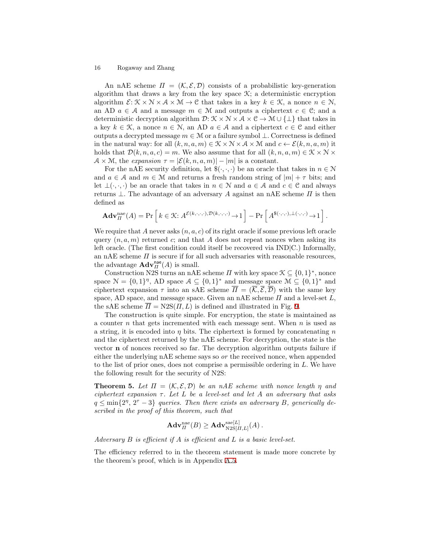An nAE scheme  $\Pi = (\mathcal{K}, \mathcal{E}, \mathcal{D})$  consists of a probabilistic key-generation algorithm that draws a key from the key space  $\mathcal{K}$ ; a deterministic encryption algorithm  $\mathcal{E}: \mathcal{K} \times \mathcal{N} \times \mathcal{A} \times \mathcal{M} \to \mathcal{C}$  that takes in a key  $k \in \mathcal{K}$ , a nonce  $n \in \mathcal{N}$ , an AD  $a \in \mathcal{A}$  and a message  $m \in \mathcal{M}$  and outputs a ciphertext  $c \in \mathcal{C}$ ; and a deterministic decryption algorithm  $\mathcal{D}: \mathcal{K} \times \mathcal{N} \times \mathcal{A} \times \mathcal{C} \rightarrow \mathcal{M} \cup \{\perp\}$  that takes in a key  $k \in \mathcal{K}$ , a nonce  $n \in \mathcal{N}$ , an AD  $a \in \mathcal{A}$  and a ciphertext  $c \in \mathcal{C}$  and either outputs a decrypted message *m ∈* M or a failure symbol *⊥*. Correctness is defined in the natural way: for all  $(k, n, a, m) \in \mathcal{K} \times \mathcal{N} \times \mathcal{A} \times \mathcal{M}$  and  $c \leftarrow \mathcal{E}(k, n, a, m)$  it holds that  $\mathcal{D}(k, n, a, c) = m$ . We also assume that for all  $(k, n, a, m) \in \mathcal{K} \times \mathcal{N} \times$  $A \times M$ , the *expansion*  $\tau = |\mathcal{E}(k, n, a, m)| - |m|$  is a constant.

For the nAE security definition, let  $\mathcal{F}(\cdot, \cdot, \cdot)$  be an oracle that takes in  $n \in \mathcal{N}$ and  $a \in \mathcal{A}$  and  $m \in \mathcal{M}$  and returns a fresh random string of  $|m| + \tau$  bits; and let  $\bot(\cdot, \cdot, \cdot)$  be an oracle that takes in  $n \in \mathbb{N}$  and  $a \in \mathcal{A}$  and  $c \in \mathcal{C}$  and always returns *⊥*. The advantage of an adversary *A* against an nAE scheme *Π* is then defined as

$$
\mathbf{Adv}_{\Pi}^{\mathrm{nae}}(A) = \Pr\left[k \in \mathcal{K}; A^{\mathcal{E}(k,\cdot,\cdot,\cdot),\mathcal{D}(k,\cdot,\cdot,\cdot)} \to 1\right] - \Pr\left[A^{\$(\cdot,\cdot,\cdot),\perp(\cdot,\cdot,\cdot)} \to 1\right].
$$

We require that *A* never asks (*n, a, c*) of its right oracle if some previous left oracle query  $(n, a, m)$  returned *c*; and that *A* does not repeat nonces when asking its left oracle. (The first condition could itself be recovered via IND*|*C.) Informally, an nAE scheme  $\Pi$  is secure if for all such adversaries with reasonable resources, the advantage  $\mathbf{Adv}_{\Pi}^{\mathsf{nae}}(A)$  is small.

Construction N2S turns an nAE scheme *Π* with key space  $\mathcal{K} \subseteq \{0,1\}^*$ , nonce space  $\mathcal{N} = \{0, 1\}^{\eta}$ , AD space  $\mathcal{A} \subseteq \{0, 1\}^*$  and message space  $\mathcal{M} \subseteq \{0, 1\}^*$  and ciphertext expansion  $\tau$  into an sAE scheme  $\overline{\Pi} = (\overline{\mathcal{K}}, \overline{\mathcal{E}}, \overline{\mathcal{D}})$  with the same key space, AD space, and message space. Given an nAE scheme *Π* and a level-set *L*, the sAE scheme  $\overline{\Pi} = \text{N2S}(\Pi, L)$  is defined and illustrated in Fig. [9](#page-16-0).

The construction is quite simple. For encryption, the state is maintained as a counter *n* that gets incremented with each message sent. When *n* is used as a string, it is encoded into *η* bits. The ciphertext is formed by concatenating *n* and the ciphertext returned by the nAE scheme. For decryption, the state is the vector **n** of nonces received so far. The decryption algorithm outputs failure if either the underlying nAE scheme says so *or* the received nonce, when appended to the list of prior ones, does not comprise a permissible ordering in *L*. We have the following result for the security of N2S:

<span id="page-15-0"></span>**Theorem 5.** Let  $\Pi = (K, \mathcal{E}, \mathcal{D})$  be an nAE scheme with nonce length  $\eta$  and *ciphertext expansion τ . Let L be a level-set and let A an adversary that asks*  $q \leq \min\{2^n, 2^{\tau} - 3\}$  *queries. Then there exists an adversary B, generically described in the proof of this theorem, such that*

$$
\mathbf{Adv}_{\Pi}^{\mathrm{nae}}(B) \geq \mathbf{Adv}_{\mathrm{N2S}[\Pi,L]}^{\mathrm{sae}[L]}(A)\,.
$$

*Adversary B is efficient if A is efficient and L is a basic level-set.*

The efficiency referred to in the theorem statement is made more concrete by the theorem's proof, which is in Appendix [A.5](#page-27-0).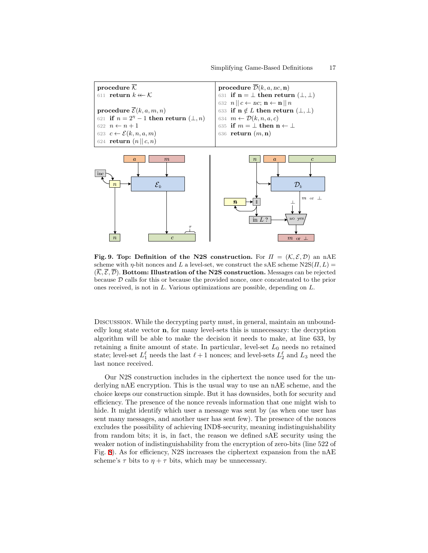

<span id="page-16-0"></span>**Fig. 9. Top:** Definition of the N2S construction. For  $\Pi = (K, \mathcal{E}, \mathcal{D})$  an nAE scheme with  $\eta$ -bit nonces and *L* a level-set, we construct the sAE scheme  $N2S(\Pi, L)$  =  $(\overline{\mathcal{K}}, \overline{\mathcal{E}}, \overline{\mathcal{D}})$ . **Bottom: Illustration of the N2S construction.** Messages can be rejected because *D* calls for this or because the provided nonce, once concatenated to the prior ones received, is not in *L*. Various optimizations are possible, depending on *L*.

Discussion. While the decrypting party must, in general, maintain an unboundedly long state vector **n**, for many level-sets this is unnecessary: the decryption algorithm will be able to make the decision it needs to make, at line 633, by retaining a finite amount of state. In particular, level-set *L*<sup>0</sup> needs no retained state; level-set  $L_1^{\ell}$  needs the last  $\ell + 1$  nonces; and level-sets  $L_2^{\ell}$  and  $L_3$  need the last nonce received.

Our N2S construction includes in the ciphertext the nonce used for the underlying nAE encryption. This is the usual way to use an nAE scheme, and the choice keeps our construction simple. But it has downsides, both for security and efficiency. The presence of the nonce reveals information that one might wish to hide. It might identify which user a message was sent by (as when one user has sent many messages, and another user has sent few). The presence of the nonces excludes the possibility of achieving IND\$-security, meaning indistinguishability from random bits; it is, in fact, the reason we defined sAE security using the weaker notion of indistinguishability from the encryption of zero-bits (line 522 of Fig. [8](#page-14-0)). As for efficiency, N2S increases the ciphertext expansion from the nAE scheme's  $\tau$  bits to  $\eta + \tau$  bits, which may be unnecessary.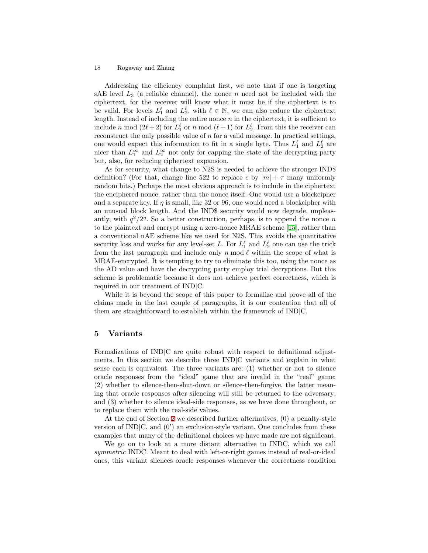<span id="page-17-1"></span>Addressing the efficiency complaint first, we note that if one is targeting sAE level *L*<sup>3</sup> (a reliable channel), the nonce *n* need not be included with the ciphertext, for the receiver will know what it must be if the ciphertext is to be valid. For levels  $L_1^{\ell}$  and  $L_2^{\ell}$ , with  $\ell \in \mathbb{N}$ , we can also reduce the ciphertext length. Instead of including the entire nonce *n* in the ciphertext, it is sufficient to include *n* mod  $(2\ell+2)$  for  $L_1^{\ell}$  or *n* mod  $(\ell+1)$  for  $L_2^{\ell}$ . From this the receiver can reconstruct the only possible value of *n* for a valid message. In practical settings, one would expect this information to fit in a single byte. Thus  $L_1^{\ell}$  and  $L_2^{\ell}$  are nicer than  $L_1^{\infty}$  and  $L_2^{\infty}$  not only for capping the state of the decrypting party but, also, for reducing ciphertext expansion.

As for security, what change to N2S is needed to achieve the stronger IND\$ definition? (For that, change line 522 to replace *c* by  $|m| + \tau$  many uniformly random bits.) Perhaps the most obvious approach is to include in the ciphertext the enciphered nonce, rather than the nonce itself. One would use a blockcipher and a separate key. If  $\eta$  is small, like 32 or 96, one would need a blockcipher with an unusual block length. And the IND\$ security would now degrade, unpleasantly, with  $q^2/2^{\eta}$ . So a better construction, perhaps, is to append the nonce *n* to the plaintext and encrypt using a zero-nonce MRAE scheme [[15\]](#page-22-12), rather than a conventional nAE scheme like we used for N2S. This avoids the quantitative security loss and works for any level-set *L*. For  $L_1^{\ell}$  and  $L_2^{\ell}$  one can use the trick from the last paragraph and include only *n* mod *ℓ* within the scope of what is MRAE-encrypted. It is tempting to try to eliminate this too, using the nonce as the AD value and have the decrypting party employ trial decryptions. But this scheme is problematic because it does not achieve perfect correctness, which is required in our treatment of IND*|*C.

While it is beyond the scope of this paper to formalize and prove all of the claims made in the last couple of paragraphs, it is our contention that all of them are straightforward to establish within the framework of IND*|*C.

## <span id="page-17-0"></span>**5 Variants**

Formalizations of IND*|*C are quite robust with respect to definitional adjustments. In this section we describe three IND*|*C variants and explain in what sense each is equivalent. The three variants are: (1) whether or not to silence oracle responses from the "ideal" game that are invalid in the "real" game; (2) whether to silence-then-shut-down or silence-then-forgive, the latter meaning that oracle responses after silencing will still be returned to the adversary; and (3) whether to silence ideal-side responses, as we have done throughout, or to replace them with the real-side values.

At the end of Section [2](#page-3-0) we described further alternatives, (0) a penalty-style version of IND*|*C, and (0*′* ) an exclusion-style variant. One concludes from these examples that many of the definitional choices we have made are not significant.

We go on to look at a more distant alternative to INDC, which we call *symmetric* INDC. Meant to deal with left-or-right games instead of real-or-ideal ones, this variant silences oracle responses whenever the correctness condition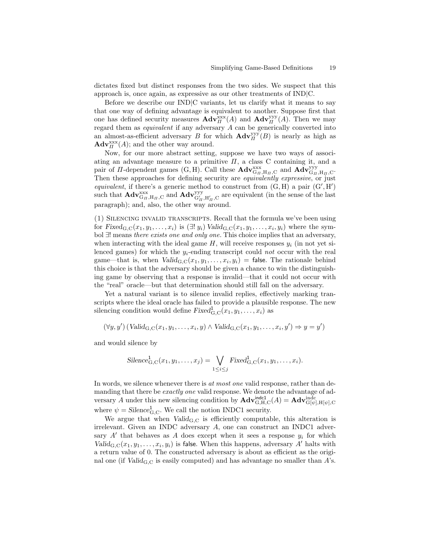dictates fixed but distinct responses from the two sides. We suspect that this approach is, once again, as expressive as our other treatments of IND*|*C.

Before we describe our IND*|*C variants, let us clarify what it means to say that one way of defining advantage is equivalent to another. Suppose first that one has defined security measures  $\mathbf{Adv}_{\Pi}^{\text{xxx}}(A)$  and  $\mathbf{Adv}_{\Pi}^{\text{yyy}}(A)$ . Then we may regard them as *equivalent* if any adversary *A* can be generically converted into an almost-as-efficient adversary *B* for which  $\mathbf{Adv}_{\Pi}^{\text{yyy}}(B)$  is nearly as high as  $\mathbf{Adv}_{\Pi}^{\text{xxx}}(A)$ ; and the other way around.

Now, for our more abstract setting, suppose we have two ways of associating an advantage measure to a primitive  $\Pi$ , a class C containing it, and a pair of *Π*-dependent games (G, H). Call these  $\text{Adv}_{G_H,H_H,C}^{\text{xxx}}$  and  $\text{Adv}_{G_H,H_H,C}^{\text{yyy}}$ . Then these approaches for defining security are *equivalently expressive*, or just *equivalent*, if there's a generic method to construct from  $(G, H)$  a pair  $(G', H')$ such that  $\mathbf{Adv}_{G_H,H_H,C}^{xxx}$  and  $\mathbf{Adv}_{G'_H,H'_H,C}^{yyy}$  are equivalent (in the sense of the last paragraph); and, also, the other way around.

(1) Silencing invalid transcripts. Recall that the formula we've been using for  $Fixed_{G,C}(x_1, y_1, \ldots, x_i)$  is  $(\exists! y_i)$   $Valid_{G,C}(x_1, y_1, \ldots, x_i, y_i)$  where the symbol *∃*! means *there exists one and only one.* This choice implies that an adversary, when interacting with the ideal game  $H$ , will receive responses  $y_i$  (in not yet silenced games) for which the *yi*-ending transcript could *not* occur with the real game—that is, when  $\text{Valid}_{G,C}(x_1, y_1, \ldots, x_i, y_i) = \text{false}$ . The rationale behind this choice is that the adversary should be given a chance to win the distinguishing game by observing that a response is invalid—that it could not occur with the "real" oracle—but that determination should still fall on the adversary.

Yet a natural variant is to silence invalid replies, effectively marking transcripts where the ideal oracle has failed to provide a plausible response. The new silencing condition would define  $Fixed^1_{G,C}(x_1, y_1, \ldots, x_i)$  as

$$
(\forall y, y') \, (\text{Valid}_{G,C}(x_1, y_1, \dots, x_i, y) \land \text{Valid}_{G,C}(x_1, y_1, \dots, x_i, y') \Rightarrow y = y')
$$

and would silence by

$$
Silence_{G,C}^1(x_1, y_1, \dots, x_j) = \bigvee_{1 \leq i \leq j} Fixed_{G,C}^1(x_1, y_1, \dots, x_i).
$$

In words, we silence whenever there is *at most one* valid response, rather than demanding that there be *exactly one* valid response. We denote the advantage of adversary *A* under this new silencing condition by  $\mathbf{Adv}_{G,H,C}^{\text{indcl}}(A) = \mathbf{Adv}_{G[\psi],H[\psi],C}^{\text{indc}}$ where  $\psi = \text{Silence}_{G,C}^1$ . We call the notion INDC1 security.

We argue that when  $Valid_{G,C}$  is efficiently computable, this alteration is irrelevant. Given an INDC adversary *A*, one can construct an INDC1 adversary  $A'$  that behaves as  $A$  does except when it sees a response  $y_i$  for which *Valid*<sub>G</sub>, $C(x_1, y_1, \ldots, x_i, y_i)$  is false. When this happens, adversary *A'* halts with a return value of 0. The constructed adversary is about as efficient as the original one (if  $Valid_{G,C}$  is easily computed) and has advantage no smaller than  $A$ 's.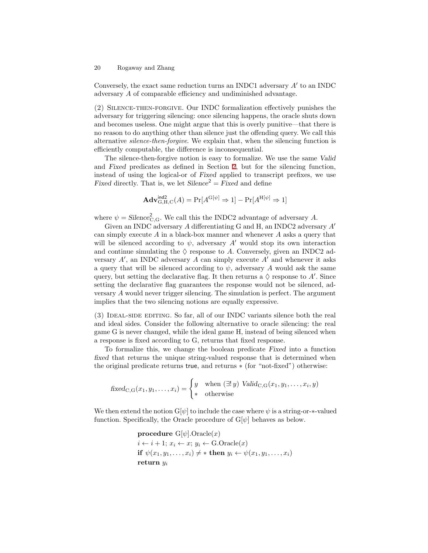Conversely, the exact same reduction turns an INDC1 adversary *A′* to an INDC adversary *A* of comparable efficiency and undiminished advantage.

(2) Silence-then-forgive. Our INDC formalization effectively punishes the adversary for triggering silencing: once silencing happens, the oracle shuts down and becomes useless. One might argue that this is overly punitive—that there is no reason to do anything other than silence just the offending query. We call this alternative *silence-then-forgive*. We explain that, when the silencing function is efficiently computable, the difference is inconsequential.

The silence-then-forgive notion is easy to formalize. We use the same *Valid* and *Fixed* predicates as defined in Section [2,](#page-3-0) but for the silencing function, instead of using the logical-or of *Fixed* applied to transcript prefixes, we use *Fixed* directly. That is, we let  $Silence<sup>2</sup> = Fixed$  and define

$$
\mathbf{Adv}_{\mathrm{G,H,C}}^{\mathsf{ind2}}(A) = \Pr[A^{\mathrm{G}[\psi]} \Rightarrow 1] - \Pr[A^{\mathrm{H}[\psi]} \Rightarrow 1]
$$

where  $\psi = \text{Silence}_{C,G}^2$ . We call this the INDC2 advantage of adversary *A*.

Given an INDC adversary *A* differentiating G and H, an INDC2 adversary *A′* can simply execute *A* in a black-box manner and whenever *A* asks a query that will be silenced according to  $\psi$ , adversary  $A'$  would stop its own interaction and continue simulating the  $\Diamond$  response to A. Conversely, given an INDC2 adversary *A′* , an INDC adversary *A* can simply execute *A′* and whenever it asks a query that will be silenced according to  $\psi$ , adversary A would ask the same query, but setting the declarative flag. It then returns a  $\Diamond$  response to  $A'$ . Since setting the declarative flag guarantees the response would not be silenced, adversary *A* would never trigger silencing. The simulation is perfect. The argument implies that the two silencing notions are equally expressive.

(3) IDEAL-SIDE EDITING. So far, all of our INDC variants silence both the real and ideal sides. Consider the following alternative to oracle silencing: the real game G is never changed, while the ideal game H, instead of being silenced when a response is fixed according to G, returns that fixed response.

To formalize this, we change the boolean predicate *Fixed* into a function *fixed* that returns the unique string-valued response that is determined when the original predicate returns true, and returns *∗* (for "not-fixed") otherwise:

$$
\text{fixed}_{C,G}(x_1, y_1, \dots, x_i) = \begin{cases} y & \text{when } (\exists! \, y) \text{ Valid}_{C,G}(x_1, y_1, \dots, x_i, y) \\ * & \text{otherwise} \end{cases}
$$

We then extend the notion  $G[\psi]$  to include the case where  $\psi$  is a string-or-*\**-valued function. Specifically, the Oracle procedure of  $G[\psi]$  behaves as below.

> **procedure** G[*ψ*]*.*Oracle(*x*)  $i \leftarrow i + 1; x_i \leftarrow x; y_i \leftarrow G \text{.Oracle}(x)$ **if**  $\psi(x_1, y_1, \ldots, x_i) \neq *$  **then**  $y_i \leftarrow \psi(x_1, y_1, \ldots, x_i)$ **return** *y<sup>i</sup>*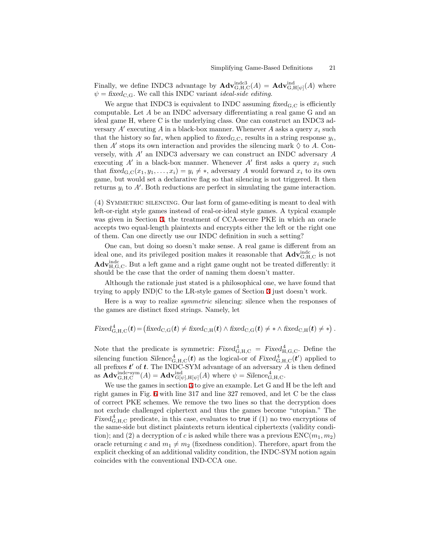Finally, we define INDC3 advantage by  $\text{Adv}_{G,H,C}^{\text{indc3}}(A) = \text{Adv}_{G,H[\psi]}^{\text{ind}}(A)$  where  $\psi = \text{fixed}_{C,G}$ . We call this INDC variant *ideal-side editing*.

We argue that INDC3 is equivalent to INDC assuming  $fixed_{G,C}$  is efficiently computable. Let *A* be an INDC adversary differentiating a real game G and an ideal game H, where C is the underlying class. One can construct an INDC3 adversary *A′* executing *A* in a black-box manner. Whenever *A* asks a query *x<sup>i</sup>* such that the history so far, when applied to  $fixed_{G,C}$ , results in a string response  $y_i$ , then  $A'$  stops its own interaction and provides the silencing mark  $\Diamond$  to  $A$ . Conversely, with *A′* an INDC3 adversary we can construct an INDC adversary *A* executing *A′* in a black-box manner. Whenever *A′* first asks a query *x<sup>i</sup>* such that  $\text{fixed}_{\mathbf{G},\mathbf{C}}(x_1,y_1,\ldots,x_i) = y_i \neq *,$  adversary *A* would forward  $x_i$  to its own game, but would set a declarative flag so that silencing is not triggered. It then returns *y<sup>i</sup>* to *A′* . Both reductions are perfect in simulating the game interaction.

(4) Symmetric silencing. Our last form of game-editing is meant to deal with left-or-right style games instead of real-or-ideal style games. A typical example was given in Section [3](#page-9-0), the treatment of CCA-secure PKE in which an oracle accepts two equal-length plaintexts and encrypts either the left or the right one of them. Can one directly use our INDC definition in such a setting?

One can, but doing so doesn't make sense. A real game is different from an ideal one, and its privileged position makes it reasonable that  $\mathbf{Adv}_{G,H,C}^{\text{indc}}$  is not  $\mathbf{Adv}_{\mathrm{H,G,C}}^{\mathrm{inde}}$ . But a left game and a right game ought not be treated differently: it should be the case that the order of naming them doesn't matter.

Although the rationale just stated is a philosophical one, we have found that trying to apply IND*|*C to the LR-style games of Section [3](#page-9-0) just doesn't work.

Here is a way to realize *symmetric* silencing: silence when the responses of the games are distinct fixed strings. Namely, let

# $\text{Fixed}_{\text{G,H,C}}^4(\boldsymbol{t})\!=\!\left(\text{fixed}_{\text{C,G}}(\boldsymbol{t})\neq\text{fixed}_{\text{C,H}}(\boldsymbol{t})\land\text{fixed}_{\text{C,G}}(\boldsymbol{t})\neq *\land\text{fixed}_{\text{C,H}}(\boldsymbol{t})\neq *\right).$

Note that the predicate is symmetric:  $Fixed_{G,H,C}^4 = Fixed_{H,G,C}^4$ . Define the  $\sinh(\theta)$  silencing function  $\sinh(\theta)$  as the logical-or of  $Fixed_{G,H,C}^4(t')$  applied to all prefixes  $t'$  of  $t$ . The INDC-SYM advantage of an adversary  $A$  is then defined as  $\mathbf{Adv}_{G,H,C}^{\text{indc-sym}}(A) = \mathbf{Adv}_{G[\psi],H[\psi]}^{\text{ind}}(A)$  where  $\psi = \textit{Silence}_{G,H,C}^4$ .

We use the games in section [3](#page-9-0) to give an example. Let G and H be the left and right games in Fig. [6](#page-11-1) with line 317 and line 327 removed, and let C be the class of correct PKE schemes. We remove the two lines so that the decryption does not exclude challenged ciphertext and thus the games become "utopian." The  $Fixed_{\mathrm{G,H,C}}^4$  predicate, in this case, evaluates to true if (1) no two encryptions of the same-side but distinct plaintexts return identical ciphertexts (validity condition); and (2) a decryption of *c* is asked while there was a previous  $ENC(m_1, m_2)$ oracle returning c and  $m_1 \neq m_2$  (fixedness condition). Therefore, apart from the explicit checking of an additional validity condition, the INDC-SYM notion again coincides with the conventional IND-CCA one.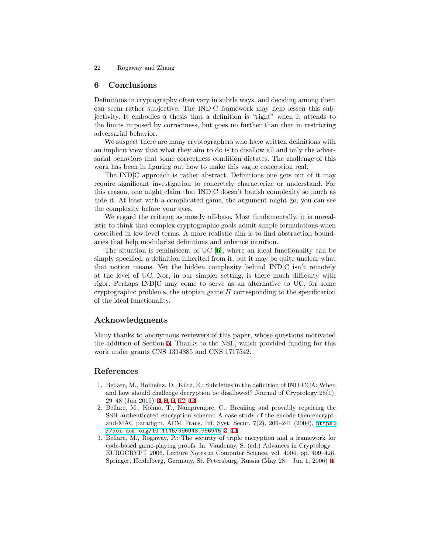# <span id="page-21-3"></span>**6 Conclusions**

Definitions in cryptography often vary in subtle ways, and deciding among them can seem rather subjective. The IND*|*C framework may help lessen this subjectivity. It embodies a thesis that a definition is "right" when it attends to the limits imposed by correctness, but goes no further than that in restricting adversarial behavior.

We suspect there are many cryptographers who have written definitions with an implicit view that what they aim to do is to disallow all and only the adversarial behaviors that some correctness condition dictates. The challenge of this work has been in figuring out how to make this vague conception real.

The IND*|*C approach is rather abstract. Definitions one gets out of it may require significant investigation to concretely characterize or understand. For this reason, one might claim that IND*|*C doesn't banish complexity so much as hide it. At least with a complicated game, the argument might go, you can see the complexity before your eyes.

We regard the critique as mostly off-base. Most fundamentally, it is unrealistic to think that complex cryptographic goals admit simple formulations when described in low-level terms. A more realistic aim is to find abstraction boundaries that help modularize definitions and enhance intuition.

The situation is reminiscent of UC [[6](#page-22-3)], where an ideal functionality can be simply specified, a definition inherited from it, but it may be quite unclear what that notion means. Yet the hidden complexity behind IND*|*C isn't remotely at the level of UC. Nor, in our simpler setting, is there much difficulty with rigor. Perhaps IND*|*C may come to serve as an alternative to UC, for some cryptographic problems, the utopian game *H* corresponding to the specification of the ideal functionality.

## **Acknowledgments**

Many thanks to anonymous reviewers of this paper, whose questions motivated the addition of Section [5.](#page-17-0) Thanks to the NSF, which provided funding for this work under grants CNS 1314885 and CNS 1717542.

## **References**

- <span id="page-21-0"></span>1. Bellare, M., Hofheinz, D., Kiltz, E.: Subtleties in the definition of IND-CCA: When and how should challenge decryption be disallowed? Journal of Cryptology 28(1), 29–48 (Jan 2015) [3](#page-2-0), [8,](#page-7-0) [9,](#page-8-1) [12,](#page-11-3) [13](#page-12-0)
- <span id="page-21-1"></span>2. Bellare, M., Kohno, T., Namprempre, C.: Breaking and provably repairing the SSH authenticated encryption scheme: A case study of the encode-then-encryptand-MAC paradigm. ACM Trans. Inf. Syst. Secur. 7(2), 206–241 (2004), [https:](https://doi.acm.org/10.1145/996943.996945) [//doi.acm.org/10.1145/996943.996945](https://doi.acm.org/10.1145/996943.996945) [3,](#page-2-0) [14](#page-13-1)
- <span id="page-21-2"></span>3. Bellare, M., Rogaway, P.: The security of triple encryption and a framework for code-based game-playing proofs. In: Vaudenay, S. (ed.) Advances in Cryptology – EUROCRYPT 2006. Lecture Notes in Computer Science, vol. 4004, pp. 409–426. Springer, Heidelberg, Germany, St. Petersburg, Russia (May 28 – Jun 1, 2006) [4](#page-3-1)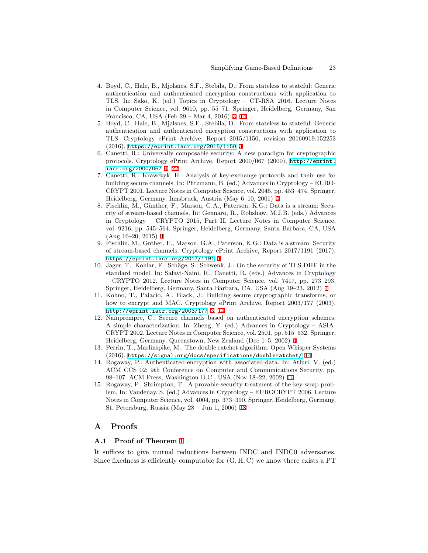- <span id="page-22-1"></span>4. Boyd, C., Hale, B., Mjølsnes, S.F., Stebila, D.: From stateless to stateful: Generic authentication and authenticated encryption constructions with application to TLS. In: Sako, K. (ed.) Topics in Cryptology – CT-RSA 2016. Lecture Notes in Computer Science, vol. 9610, pp. 55–71. Springer, Heidelberg, Germany, San Francisco, CA, USA (Feb 29 – Mar 4, 2016) [3,](#page-2-0) [14](#page-13-1)
- <span id="page-22-2"></span>5. Boyd, C., Hale, B., Mjølsnes, S.F., Stebila, D.: From stateless to stateful: Generic authentication and authenticated encryption constructions with application to TLS. Cryptology ePrint Archive, Report 2015/1150, revision 20160919:152253 (2016), <https://eprint.iacr.org/2015/1150> [3](#page-2-0)
- <span id="page-22-3"></span>6. Canetti, R.: Universally composable security: A new paradigm for cryptographic protocols. Cryptology ePrint Archive, Report 2000/067 (2000), [http://eprint.](http://eprint.iacr.org/2000/067) [iacr.org/2000/067](http://eprint.iacr.org/2000/067) [4](#page-3-1), [22](#page-21-3)
- <span id="page-22-4"></span>7. Canetti, R., Krawczyk, H.: Analysis of key-exchange protocols and their use for building secure channels. In: Pfitzmann, B. (ed.) Advances in Cryptology – EURO-CRYPT 2001. Lecture Notes in Computer Science, vol. 2045, pp. 453–474. Springer, Heidelberg, Germany, Innsbruck, Austria (May 6–10, 2001) [4](#page-3-1)
- <span id="page-22-8"></span>8. Fischlin, M., Günther, F., Marson, G.A., Paterson, K.G.: Data is a stream: Security of stream-based channels. In: Gennaro, R., Robshaw, M.J.B. (eds.) Advances in Cryptology – CRYPTO 2015, Part II. Lecture Notes in Computer Science, vol. 9216, pp. 545–564. Springer, Heidelberg, Germany, Santa Barbara, CA, USA (Aug 16–20, 2015) [4](#page-3-1)
- <span id="page-22-7"></span>9. Fischlin, M., Gnther, F., Marson, G.A., Paterson, K.G.: Data is a stream: Security of stream-based channels. Cryptology ePrint Archive, Report 2017/1191 (2017), <https://eprint.iacr.org/2017/1191> [4](#page-3-1)
- <span id="page-22-6"></span>10. Jager, T., Kohlar, F., Schäge, S., Schwenk, J.: On the security of TLS-DHE in the standard model. In: Safavi-Naini, R., Canetti, R. (eds.) Advances in Cryptology – CRYPTO 2012. Lecture Notes in Computer Science, vol. 7417, pp. 273–293. Springer, Heidelberg, Germany, Santa Barbara, CA, USA (Aug 19–23, 2012) [4](#page-3-1)
- <span id="page-22-0"></span>11. Kohno, T., Palacio, A., Black, J.: Building secure cryptographic transforms, or how to encrypt and MAC. Cryptology ePrint Archive, Report 2003/177 (2003), <http://eprint.iacr.org/2003/177> [3](#page-2-0), [14](#page-13-1)
- <span id="page-22-5"></span>12. Namprempre, C.: Secure channels based on authenticated encryption schemes: A simple characterization. In: Zheng, Y. (ed.) Advances in Cryptology – ASIA-CRYPT 2002. Lecture Notes in Computer Science, vol. 2501, pp. 515–532. Springer, Heidelberg, Germany, Queenstown, New Zealand (Dec 1–5, 2002) [4](#page-3-1)
- <span id="page-22-10"></span>13. Perrin, T., Marlinspike, M.: The double ratchet algorithm. Open Whisper Systems (2016), <https://signal.org/docs/specifications/doubleratchet/> [14](#page-13-1)
- <span id="page-22-11"></span>14. Rogaway, P.: Authenticated-encryption with associated-data. In: Atluri, V. (ed.) ACM CCS 02: 9th Conference on Computer and Communications Security. pp. 98–107. ACM Press, Washington D.C., USA (Nov 18–22, 2002) [15](#page-14-1)
- <span id="page-22-12"></span>15. Rogaway, P., Shrimpton, T.: A provable-security treatment of the key-wrap problem. In: Vaudenay, S. (ed.) Advances in Cryptology – EUROCRYPT 2006. Lecture Notes in Computer Science, vol. 4004, pp. 373–390. Springer, Heidelberg, Germany, St. Petersburg, Russia (May 28 – Jun 1, 2006) [18](#page-17-1)

# **A Proofs**

### <span id="page-22-9"></span>**A.1 Proof of Theorem [1](#page-8-2)**

It suffices to give mutual reductions between INDC and INDC0 adversaries. Since fixedness is efficiently computable for (G*,* H*,* C) we know there exists a PT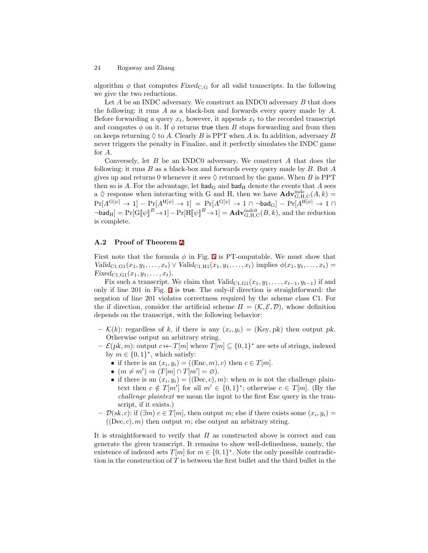algorithm  $\phi$  that computes  $Fixed_{C,G}$  for all valid transcripts. In the following we give the two reductions.

Let *A* be an INDC adversary. We construct an INDC0 adversary *B* that does the following: it runs *A* as a black-box and forwards every query made by *A*. Before forwarding a query  $x_t$ , however, it appends  $x_t$  to the recorded transcript and computes  $\phi$  on it. If  $\phi$  returns true then *B* stops forwarding and from then on keeps returning  $\Diamond$  to A. Clearly B is PPT when A is. In addition, adversary B never triggers the penalty in Finalize, and it perfectly simulates the INDC game for *A*.

Conversely, let *B* be an INDC0 adversary. We construct *A* that does the following: it runs *B* as a black-box and forwards every query made by *B*. But *A* gives up and returns 0 whenever it sees  $\Diamond$  returned by the game. When *B* is PPT then so is  $A$ . For the advantage, let  $bad_G$  and  $bad_H$  denote the events that  $A$  sees a  $\Diamond$  response when interacting with G and H, then we have  $\mathbf{Adv}_{G,H,C}^{\text{indc}}(A,k)$  =  $\Pr[A^{\mathrm{G}[\psi]} \to 1] - \Pr[A^{\mathrm{H}[\psi]} \to 1] \ = \ \Pr[A^{\mathrm{G}[\psi]} \to 1 \ \cap \ \neg \textsf{bad}_{\mathrm{G}}] - \Pr[A^{\mathrm{H}[\psi]} \to 1 \ \cap \ \neg \textsf{bad}_{\mathrm{G}}]$  $\neg$ **bad**<sub>H</sub> $] = \Pr[G[\![\psi]\!]^B \rightarrow 1] - \Pr[H[\![\psi]\!]^B \rightarrow 1] = \mathbf{Adv}_{G,H,C}^{\text{indco}}(B,k)$ , and the reduction is complete.

# <span id="page-23-0"></span>**A.2 Proof of Theorem [2](#page-10-1)**

First note that the formula  $\phi$  in Fig. [5](#page-11-0) is PT-omputable. We must show that  $V \text{alid}_{C_1, G_1}(x_1, y_1, \ldots, x_t) \vee \text{Valid}_{C_1, H_1}(x_1, y_1, \ldots, x_t)$  implies  $\phi(x_1, y_1, \ldots, x_t) =$ *Fixed*<sub>C1</sub>,G<sub>1</sub>( $x_1, y_1, \ldots, x_t$ ).

Fix such a transcript. We claim that  $Valid_{C1,G1}(x_1,y_1,\ldots,x_{t-1},y_{t-1})$  if and only if line 201 in Fig. [5](#page-11-0) is true. The only-if direction is straightforward: the negation of line 201 violates correctness required by the scheme class C1. For the if direction, consider the artificial scheme  $\Pi = (\mathcal{K}, \mathcal{E}, \mathcal{D})$ , whose definition depends on the transcript, with the following behavior:

- $-\mathcal{K}(k)$ : regardless of *k*, if there is any  $(x_i, y_i) = (Key, pk)$  then output *pk*. Otherwise output an arbitrary string.
- $\mathcal{E}(pk,m)$ : output *c*<sup> $\leftarrow$ </sup>*T*[*m*] where *T*[*m*] ⊆ {0, 1}<sup>\*</sup> are sets of strings, indexed by  $m \in \{0,1\}^*$ , which satisfy:
	- if there is an  $(x_i, y_i) = ((\text{Enc}, m), c)$  then  $c \in T[m]$ .
	- $(m \neq m') \Rightarrow (T[m] \cap T[m'] = \varnothing).$
	- if there is an  $(x_i, y_i) = ((\text{Dec}, c), m)$ : when *m* is not the challenge plaintext then  $c \notin T[m']$  for all  $m' \in \{0,1\}^*$ ; otherwise  $c \in T[m]$ . (By the *challenge plaintext* we mean the input to the first Enc query in the transcript, if it exists.)
- $P(X|X, c)$ : if  $(∃m) c ∈ T[m]$ , then output *m*; else if there exists some  $(x_i, y_i) =$  $((Dec, c), m)$  then output *m*; else output an arbitrary string.

It is straightforward to verify that *Π* as constructed above is correct and can generate the given transcript. It remains to show well-definedness, namely, the existence of indexed sets  $T[m]$  for  $m \in \{0,1\}^*$ . Note the only possible contradiction in the construction of *T* is between the first bullet and the third bullet in the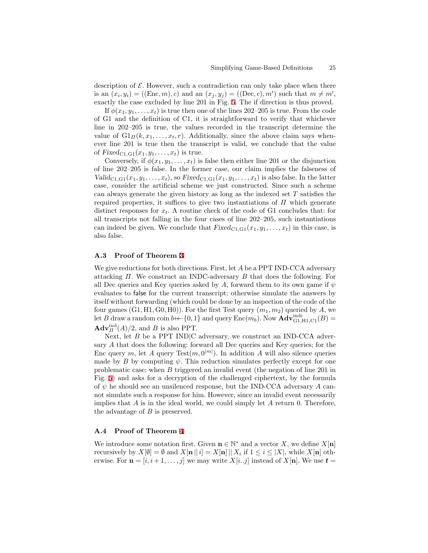description of  $\mathcal E$ . However, such a contradiction can only take place when there is an  $(x_i, y_i) = ((\text{Enc}, m), c)$  and an  $(x_j, y_j) = ((\text{Dec}, c), m')$  such that  $m \neq m'$ , exactly the case excluded by line 201 in Fig. [5](#page-11-0). The if direction is thus proved.

If  $\phi(x_1, y_1, \ldots, x_t)$  is true then one of the lines 202–205 is true. From the code of G1 and the definition of C1, it is straightforward to verify that whichever line in 202–205 is true, the values recorded in the transcript determine the value of  $G1_\Pi(k, x_1, \ldots, x_t, r)$ . Additionally, since the above claim says whenever line 201 is true then the transcript is valid, we conclude that the value of  $Fixed_{C1,G1}(x_1,y_1,\ldots,x_t)$  is true.

Conversely, if  $\phi(x_1, y_1, \ldots, x_t)$  is false then either line 201 or the disjunction of line 202–205 is false. In the former case, our claim implies the falseness of  $Valiid_{C1,G1}(x_1,y_1,\ldots,x_t)$ , so  $Fixed_{C1,G1}(x_1,y_1,\ldots,x_t)$  is also false. In the latter case, consider the artificial scheme we just constructed. Since such a scheme can always generate the given history as long as the indexed set *T* satisfies the required properties, it suffices to give two instantiations of *Π* which generate distinct responses for *xt*. A routine check of the code of G1 concludes that: for all transcripts not falling in the four cases of line 202–205, such instantiations can indeed be given. We conclude that  $Fixed_{C1,G1}(x_1,y_1,\ldots,x_t)$  in this case, is also false.

#### <span id="page-24-0"></span>**A.3 Proof of Theorem [3](#page-11-2)**

We give reductions for both directions. First, let *A* be a PPT IND-CCA adversary attacking *Π*. We construct an INDC-adversary *B* that does the following. For all Dec queries and Key queries asked by A, forward them to its own game if  $\psi$ evaluates to false for the current transcript; otherwise simulate the answers by itself without forwarding (which could be done by an inspection of the code of the four games  $(G1, H1, G0, H0)$ . For the first Test query  $(m_1, m_2)$  queried by A, we let *B* draw a random coin  $b \leftarrow \{0, 1\}$  and query  $\text{Enc}(m_b)$ . Now  $\text{Adv}_{G1, H1, C1}^{indc}(B)$  $\mathbf{Adv}_{\Pi}^{\text{ind}}(A)/2$ , and *B* is also PPT.

Next, let *B* be a PPT IND|C adversary, we construct an IND-CCA adversary *A* that does the following: forward all Dec queries and Key queries; for the Enc query *m*, let *A* query Test $(m, 0^{|m|})$ . In addition *A* will also silence queries made by *B* by computing  $\psi$ . This reduction simulates perfectly except for one problematic case: when *B* triggered an invalid event (the negation of line 201 in Fig. [5\)](#page-11-0) and asks for a decryption of the challenged ciphertext, by the formula of *ψ* he should see an unsilenced response, but the IND-CCA adversary *A* cannot simulate such a response for him. However, since an invalid event necessarily implies that *A* is in the ideal world, we could simply let *A* return 0. Therefore, the advantage of *B* is preserved.

#### <span id="page-24-1"></span>**A.4 Proof of Theorem [4](#page-14-2)**

We introduce some notation first. Given  $\mathbf{n} \in \mathbb{N}^*$  and a vector *X*, we define *X*[**n**] recursively by  $X[\emptyset] = \emptyset$  and  $X[\mathbf{n} \mid i] = X[\mathbf{n}] \mid X_i$  if  $1 \le i \le |X|$ , while  $X[\mathbf{n}]$  otherwise. For  $\mathbf{n} = [i, i+1, \ldots, j]$  we may write  $X[i..j]$  instead of  $X[\mathbf{n}]$ . We use  $t =$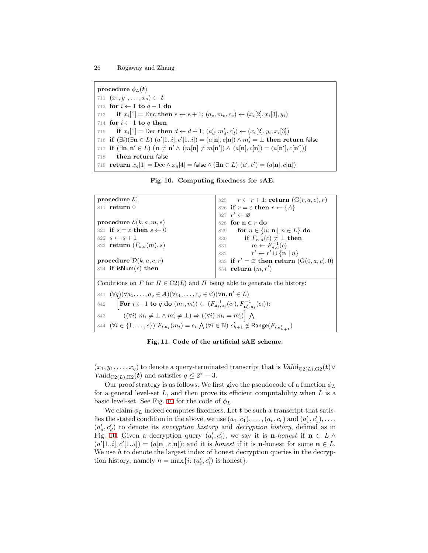**procedure**  $\phi_L(t)$  $711 \ (x_1, y_1, \ldots, x_q) \leftarrow t$ 712 **for** *i ←* 1 **to** *q −* 1 **do** 713 **if**  $x_i[1] = \text{Enc} \text{ then } e \leftarrow e + 1; (a_e, m_e, c_e) \leftarrow (x_i[2], x_i[3], y_i)$ 714 **for**  $i \leftarrow 1$  **to**  $q$  **then** 715 if  $x_i[1] = \text{Dec}$  then  $d \leftarrow d + 1$ ;  $(a'_d, m'_d, c'_d) \leftarrow (x_i[2], y_i, x_i[3])$ 716  $\,$  if  $(\exists i)(\exists {\bf n}\in L)\,\, (a'[1..i],c'[1..i]) = (a[{\bf n}],c[{\bf n}]) \wedge m_i' = \bot$  then return false 717 if  $(\exists \mathbf{n}, \mathbf{n}' \in L)$   $(\mathbf{n} \neq \mathbf{n}' \wedge (m[\mathbf{n}] \neq m[\mathbf{n}']) \wedge (a[\mathbf{n}], c[\mathbf{n}]) = (a[\mathbf{n}'], c[\mathbf{n}'])$ 718 **then return** false 719 **return**  $x_q[1] = \text{Dec } \wedge x_q[4] = \text{false } \wedge (\exists \mathbf{n} \in L) \ (a', c') = (a[\mathbf{n}], c[\mathbf{n}])$ 

<span id="page-25-0"></span>

**procedure** *K* 811 **return** 0 **procedure**  $\mathcal{E}(k, a, m, s)$ 821 **if**  $s = \varepsilon$  **then**  $s \leftarrow 0$ 822  $s \leftarrow s + 1$ 823 **return** (*Fs,a*(*m*)*, s*) **procedure**  $\mathcal{D}(k, a, c, r)$ 824 **if** isNum(*r*) **then** 825  $r \leftarrow r + 1$ ; **return**  $(G(r, a, c), r)$ 826 **if**  $r = \varepsilon$  **then**  $r \leftarrow \{A\}$ 827 *r ′ ←* ∅ 828 **for n** *∈ r* **do** 829 **for**  $n \in \{n : \mathbf{n} \mid | n \in L\}$  **do** 830 **if**  $F_{n,a}^{-1}(c) \neq \bot$  **then** 831 *m*  $\leftarrow F_{n,a}^{-1}(c)$ 832 *r ′ ← r ′ ∪ {***n** *|| n}* 833 **if**  $r' = \emptyset$  **then return**  $(G(0, a, c), 0)$ 834 **return** (*m, r′* ) Conditions on *F* for  $\Pi \in C_2(L)$  and  $\Pi$  being able to generate the history: 841  $(\forall q)(\forall a_1, \ldots, a_q \in \mathcal{A})(\forall c_1, \ldots, c_q \in \mathcal{C})(\forall \mathbf{n}, \mathbf{n}' \in L)$ 842 For  $i \leftarrow 1$  to q do  $(m_i, m'_i) \leftarrow (F_{\mathbf{n}_i, a_i}^{-1}(c_i), F_{\mathbf{n}'_i, a_i}^{-1}(c_i))$ : 843  $((\forall i)$   $m_i \neq \bot \land m'_i \neq \bot) \Rightarrow ((\forall i)$   $m_i = m'_i) \stackrel{\frown}{\bigcap} \Lambda$ 844  $(\forall i \in \{1, ..., e\})$   $F_{i, a_i}(m_i) = c_i \bigwedge (\forall i \in \mathbb{N}) \ c'_{h+1} \notin \mathsf{Range}(F_{i, a'_{h+1}})$ 

<span id="page-25-1"></span>**Fig. 11. Code of the artificial sAE scheme.**

 $(x_1, y_1, \ldots, x_q)$  to denote a query-terminated transcript that is  $Valid_{C2(L),G2}(t) \vee$ *Valid*<sub>C2</sub>(*L*), $H_2$ (*t*) and satisfies  $q \leq 2^{\tau} - 3$ .

Our proof strategy is as follows. We first give the pseudocode of a function  $\phi_L$ for a general level-set *L*, and then prove its efficient computability when *L* is a basic level-set. See Fig. [10](#page-25-0) for the code of  $\phi_L$ .

We claim  $\phi_L$  indeed computes fixedness. Let **t** be such a transcript that satisfies the stated condition in the above, we use  $(a_1, c_1), \ldots, (a_e, c_e)$  and  $(a'_1, c'_1), \ldots$ ,  $(a'_d, c'_d)$  to denote its *encryption history* and *decryption history*, defined as in Fig. [10](#page-25-0). Given a decryption query  $(a'_i, c'_i)$ , we say it is **n***-honest* if **n**  $\in L \wedge \{b\}$  $(a'[1..i], c'[1..i]) = (a[n], c[n])$ ; and it is *honest* if it is **n**-honest for some  $n \in L$ . We use *h* to denote the largest index of honest decryption queries in the decryption history, namely  $h = \max\{i: (a'_i, c'_i) \text{ is honest}\}.$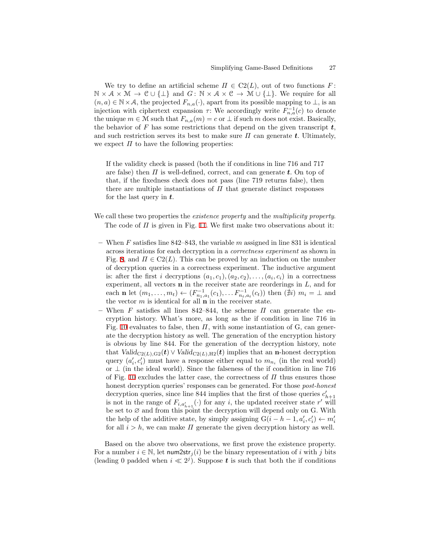We try to define an artificial scheme  $\Pi \in \mathrm{C2}(L)$ , out of two functions  $F$ :  $\mathbb{N} \times \mathcal{A} \times \mathcal{M} \to \mathcal{C} \cup \{\perp\}$  and  $G: \mathbb{N} \times \mathcal{A} \times \mathcal{C} \to \mathcal{M} \cup \{\perp\}$ . We require for all  $(n, a) \in \mathbb{N} \times \mathcal{A}$ , the projected  $F_{n,a}(\cdot)$ , apart from its possible mapping to  $\bot$ , is an injection with ciphertext expansion  $\tau$ : We accordingly write  $F_{n,a}^{-1}(c)$  to denote the unique  $m \in \mathcal{M}$  such that  $F_{n,a}(m) = c$  or  $\perp$  if such  $m$  does not exist. Basically, the behavior of  $F$  has some restrictions that depend on the given transcript  $t$ , and such restriction serves its best to make sure *Π* can generate *t*. Ultimately, we expect  $\Pi$  to have the following properties:

If the validity check is passed (both the if conditions in line 716 and 717 are false) then *Π* is well-defined, correct, and can generate *t*. On top of that, if the fixedness check does not pass (line 719 returns false), then there are multiple instantiations of *Π* that generate distinct responses for the last query in *t*.

- We call these two properties the *existence property* and the *multiplicity property*. The code of *Π* is given in Fig. [11.](#page-25-1) We first make two observations about it:
	- **–** When *F* satisfies line 842–843, the variable *m* assigned in line 831 is identical across iterations for each decryption in a *correctness experiment* as shown in Fig. [8](#page-14-0), and  $\Pi \in C_2(L)$ . This can be proved by an induction on the number of decryption queries in a correctness experiment. The inductive argument is: after the first *i* decryptions  $(a_1, c_1), (a_2, c_2), \ldots, (a_i, c_i)$  in a correctness experiment, all vectors **n** in the receiver state are reorderings in *L*, and for each **n** let  $(m_1, ..., m_t) \leftarrow (F_{n_1, a_1}^{-1}(c_1), ..., F_{n_t, a_t}^{-1}(c_t))$  then  $(\nexists i)$   $m_i = \perp$  and the vector *m* is identical for all **n** in the receiver state.
	- When *F* satisfies all lines 842–844, the scheme  $\Pi$  can generate the encryption history. What's more, as long as the if condition in line 716 in Fig. [10](#page-25-0) evaluates to false, then *Π*, with some instantiation of G, can generate the decryption history as well. The generation of the encryption history is obvious by line 844. For the generation of the decryption history, note that *Valid*<sub>C2</sub>(*L*),G<sub>2</sub>(*t*)  $\vee$  *Valid*<sub>C2(*L*),H<sub>2</sub>(*t*) implies that an **n**-honest decryption</sub> query  $(a'_i, c'_i)$  must have a response either equal to  $m_{n_i}$  (in the real world) or *⊥* (in the ideal world). Since the falseness of the if condition in line 716 of Fig. [10](#page-25-0) excludes the latter case, the correctness of *Π* thus ensures those honest decryption queries' responses can be generated. For those *post-honest* decryption queries, since line 844 implies that the first of those queries  $c'_{h+1}$ is not in the range of  $F_{i,a'_{h+1}}(\cdot)$  for any *i*, the updated receiver state *r'* will be set to  $\varnothing$  and from this point the decryption will depend only on G. With the help of the additive state, by simply assigning  $G(i - h - 1, a'_i, c'_i) \leftarrow m'_i$ for all  $i > h$ , we can make  $\Pi$  generate the given decryption history as well.

Based on the above two observations, we first prove the existence property. For a number  $i \in \mathbb{N}$ , let num2str<sub>j</sub>(*i*) be the binary representation of *i* with *j* bits (leading 0 padded when  $i \ll 2^{j}$ ). Suppose **t** is such that both the if conditions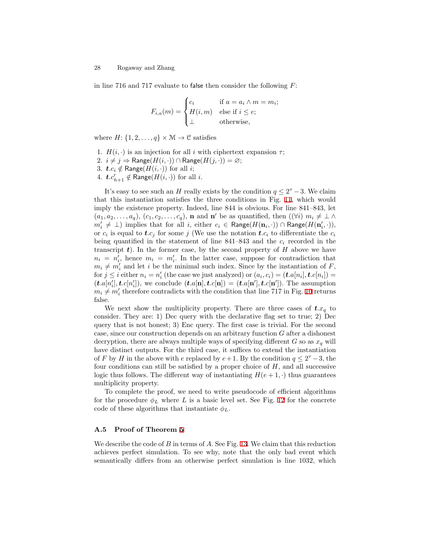in line 716 and 717 evaluate to false then consider the following *F*:

$$
F_{i,a}(m) = \begin{cases} c_i & \text{if } a = a_i \wedge m = m_i; \\ H(i,m) & \text{else if } i \leq e; \\ \perp & \text{otherwise,} \end{cases}
$$

where  $H: \{1, 2, \ldots, q\} \times \mathcal{M} \to \mathcal{C}$  satisfies

- 1.  $H(i, \cdot)$  is an injection for all *i* with ciphertext expansion  $\tau$ ;
- 2.  $i \neq j$  ⇒ Range( $H(i, \cdot)$ ) ∩ Range( $H(j, \cdot)$ ) = ∅;

3.  $t.c_i \notin \text{Range}(H(i, \cdot))$  for all *i*;

4.  $t.c'_{h+1} \notin \text{Range}(H(i,\cdot))$  for all *i*.

It's easy to see such an *H* really exists by the condition  $q \leq 2^{\tau} - 3$ . We claim that this instantiation satisfies the three conditions in Fig. [11](#page-25-1), which would imply the existence property. Indeed, line 844 is obvious. For line 841–843, let  $(a_1, a_2, \ldots, a_q)$ ,  $(c_1, c_2, \ldots, c_q)$ , **n** and **n**<sup>*'*</sup> be as quantified, then  $((\forall i)$   $m_i \neq \bot \land \bot$  $m'_i \neq \bot$ ) implies that for all i, either  $c_i \in \mathsf{Range}(H(\mathbf{n}_i, \cdot)) \cap \mathsf{Range}(H(\mathbf{n}'_i, \cdot)),$ or  $c_i$  is equal to  $t.c_j$  for some *j* (We use the notation  $t.c_i$  to differentiate the  $c_i$ being quantified in the statement of line  $841-843$  and the  $c_i$  recorded in the transcript  $t$ ). In the former case, by the second property of  $H$  above we have  $n_i = n'_i$ , hence  $m_i = m'_i$ . In the latter case, suppose for contradiction that  $m_i \neq m'_i$  and let *i* be the minimal such index. Since by the instantiation of *F*, for  $j \leq i$  either  $n_i = n'_i$  (the case we just analyzed) or  $(a_i, c_i) = (\mathbf{t}.a[n_i], \mathbf{t}.c[n_i]) =$  $(t.a[n'_i], t.c[n'_i])$ , we conclude  $(t.a[n], t.c[n]) = (t.a[n'], t.c[n'])$ . The assumption  $m_i \neq m'_i$  therefore contradicts with the condition that line 717 in Fig. [10](#page-25-0) returns false.

We next show the multiplicity property. There are three cases of  $t.x_q$  to consider. They are: 1) Dec query with the declarative flag set to true; 2) Dec query that is not honest; 3) Enc query. The first case is trivial. For the second case, since our construction depends on an arbitrary function *G* after a dishonest decryption, there are always multiple ways of specifying different *G* so as  $x_q$  will have distinct outputs. For the third case, it suffices to extend the instantiation of *F* by *H* in the above with *e* replaced by  $e+1$ . By the condition  $q \leq 2^{\tau}-3$ , the four conditions can still be satisfied by a proper choice of *H*, and all successive logic thus follows. The different way of instantiating  $H(e+1, \cdot)$  thus guarantees multiplicity property.

To complete the proof, we need to write pseudocode of efficient algorithms for the procedure  $\phi_L$  where *L* is a basic level set. See Fig. [12](#page-28-0) for the concrete code of these algorithms that instantiate  $\phi_L$ .

#### <span id="page-27-0"></span>**A.5 Proof of Theorem [5](#page-15-0)**

We describe the code of *B* in terms of *A*. See Fig. [13.](#page-29-0) We claim that this reduction achieves perfect simulation. To see why, note that the only bad event which semantically differs from an otherwise perfect simulation is line 1032, which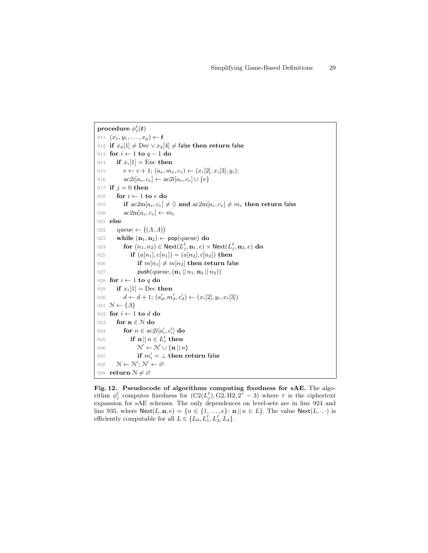```
{\bf procedure} \; \phi_j^\ell(t)911 (x_1, y_1, \ldots, x_q) \leftarrow t912 if x_q[1] \neq Dec ∨ x_q[4] \neq false then return false
913 for i ← 1 to q − 1 do
914 if x_i[1] = \text{Enc } \textbf{then}915 e \leftarrow e + 1; (a_e, m_e, c_e) \leftarrow (x_i[2], x_i[3], y_i);916 ac2i[a_e, c_e] \leftarrow ac2i[a_e, c_e] \cup \{e\}917 if j = 0 then
918 for i ← 1 to e do
919 if ac2m[a_e, c_e] \neq \Diamond and ac2m[a_e, c_e] \neq m_e then return false
920 ac2m[a_e, c_e] \leftarrow m_e921 else
922 queue \leftarrow ((\Lambda, \Lambda))923 while (n_1, n_2) \leftarrow \text{pop}(queue) do
f(x_1, x_2) \in \operatorname{\mathsf{Next}}(L^\ell_j, \mathbf{n}_1, e) \times \operatorname{\mathsf{Next}}(L^\ell_j, \mathbf{n}_2, e) \textbf{ do}925 if (a[n_1], c[n_1]) = (a[n_2], c[n_2]) then
926 if m[n_1] \neq m[n_2] then return false
927 push(queue,(n1 || n1, n2 || n2))
928 for i ← 1 to q do
929 if x_i[1] = Dec then
930 d \leftarrow d + 1; (a'_d, m'_d, c'_d) \leftarrow (x_i[2], y_i, x_i[3])931 N ← {Λ}
932 for i ← 1 to d do
933 for n ∈ N do
934 for n \in ac2i[a'_i, c'_i] do
935 if \mathbf{n} \parallel n \in L_j^{\ell} then
936 \mathcal{N}' \leftarrow \mathcal{N}' \cup \{\mathbf{n} \mid n\}937 if m'_i = \bot then return false
938 N ← N
′
; N
′ ← ∅
939 return \mathcal{N} \neq \emptyset
```
<span id="page-28-0"></span>**Fig. 12. Pseudocode of algorithms computing fixedness for sAE.** The algorithm  $\phi_j^{\ell}$  computes fixedness for  $(C2(L_j^{\ell}), G2, H2, 2^{\tau} - 3)$  where  $\tau$  is the ciphertext expansion for sAE schemes. The only dependences on level-sets are in line 924 and line 935, where  $\text{Next}(L, \mathbf{n}, e) = \{n \in \{1, \ldots, e\} : \mathbf{n} \mid n \in L\}$ . The value  $\text{Next}(L, \cdot, \cdot)$  is efficiently computable for all  $L \in \{L_0, L_1^{\ell}, L_2^{\ell}, L_3\}.$